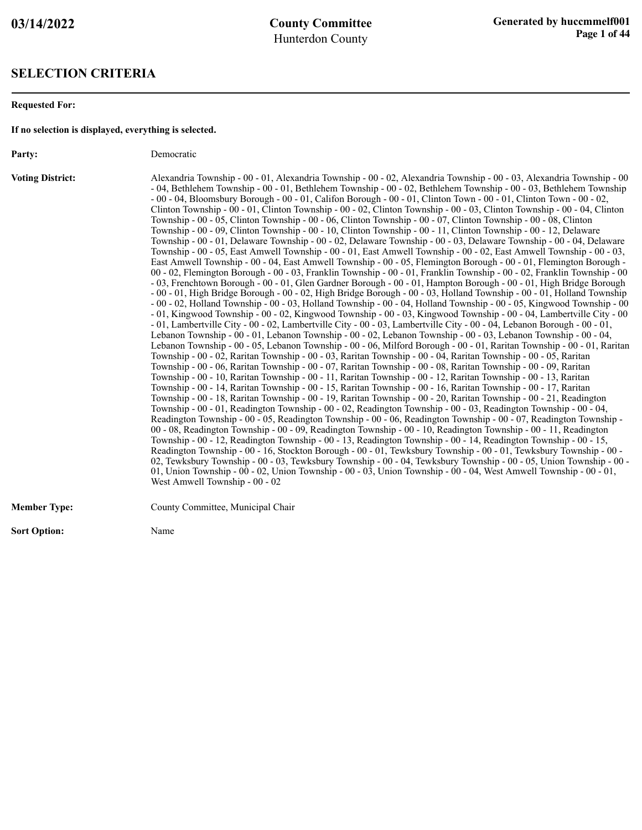#### **SELECTION CRITERIA**

**Requested For:**

**If no selection is displayed, everything is selected.**

Party: Democratic

**Voting District:** Alexandria Township - 00 - 01, Alexandria Township - 00 - 02, Alexandria Township - 00 - 03, Alexandria Township - 00 - 04, Bethlehem Township - 00 - 01, Bethlehem Township - 00 - 02, Bethlehem Township - 00 - 03, Bethlehem Township - 00 - 04, Bloomsbury Borough - 00 - 01, Califon Borough - 00 - 01, Clinton Town - 00 - 01, Clinton Town - 00 - 02, Clinton Township - 00 - 01, Clinton Township - 00 - 02, Clinton Township - 00 - 03, Clinton Township - 00 - 04, Clinton Township - 00 - 05, Clinton Township - 00 - 06, Clinton Township - 00 - 07, Clinton Township - 00 - 08, Clinton Township - 00 - 09, Clinton Township - 00 - 10, Clinton Township - 00 - 11, Clinton Township - 00 - 12, Delaware Township - 00 - 01, Delaware Township - 00 - 02, Delaware Township - 00 - 03, Delaware Township - 00 - 04, Delaware Township - 00 - 05, East Amwell Township - 00 - 01, East Amwell Township - 00 - 02, East Amwell Township - 00 - 03, East Amwell Township - 00 - 04, East Amwell Township - 00 - 05, Flemington Borough - 00 - 01, Flemington Borough - 00 - 02, Flemington Borough - 00 - 03, Franklin Township - 00 - 01, Franklin Township - 00 - 02, Franklin Township - 00 - 03, Frenchtown Borough - 00 - 01, Glen Gardner Borough - 00 - 01, Hampton Borough - 00 - 01, High Bridge Borough - 00 - 01, High Bridge Borough - 00 - 02, High Bridge Borough - 00 - 03, Holland Township - 00 - 01, Holland Township - 00 - 02, Holland Township - 00 - 03, Holland Township - 00 - 04, Holland Township - 00 - 05, Kingwood Township - 00 - 01, Kingwood Township - 00 - 02, Kingwood Township - 00 - 03, Kingwood Township - 00 - 04, Lambertville City - 00 - 01, Lambertville City - 00 - 02, Lambertville City - 00 - 03, Lambertville City - 00 - 04, Lebanon Borough - 00 - 01, Lebanon Township - 00 - 01, Lebanon Township - 00 - 02, Lebanon Township - 00 - 03, Lebanon Township - 00 - 04, Lebanon Township - 00 - 05, Lebanon Township - 00 - 06, Milford Borough - 00 - 01, Raritan Township - 00 - 01, Raritan Township - 00 - 02, Raritan Township - 00 - 03, Raritan Township - 00 - 04, Raritan Township - 00 - 05, Raritan Township - 00 - 06, Raritan Township - 00 - 07, Raritan Township - 00 - 08, Raritan Township - 00 - 09, Raritan Township - 00 - 10, Raritan Township - 00 - 11, Raritan Township - 00 - 12, Raritan Township - 00 - 13, Raritan Township - 00 - 14, Raritan Township - 00 - 15, Raritan Township - 00 - 16, Raritan Township - 00 - 17, Raritan Township - 00 - 18, Raritan Township - 00 - 19, Raritan Township - 00 - 20, Raritan Township - 00 - 21, Readington Township - 00 - 01, Readington Township - 00 - 02, Readington Township - 00 - 03, Readington Township - 00 - 04, Readington Township - 00 - 05, Readington Township - 00 - 06, Readington Township - 00 - 07, Readington Township - 00 - 08, Readington Township - 00 - 09, Readington Township - 00 - 10, Readington Township - 00 - 11, Readington Township - 00 - 12, Readington Township - 00 - 13, Readington Township - 00 - 14, Readington Township - 00 - 15, Readington Township - 00 - 16, Stockton Borough - 00 - 01, Tewksbury Township - 00 - 01, Tewksbury Township - 00 - 02, Tewksbury Township - 00 - 03, Tewksbury Township - 00 - 04, Tewksbury Township - 00 - 05, Union Township - 00 - 01, Union Township - 00 - 02, Union Township - 00 - 03, Union Township - 00 - 04, West Amwell Township - 00 - 01, West Amwell Township - 00 - 02

| <b>Member Type:</b> | County Committee, Municipal Chair |
|---------------------|-----------------------------------|
|                     |                                   |

**Sort Option:** Name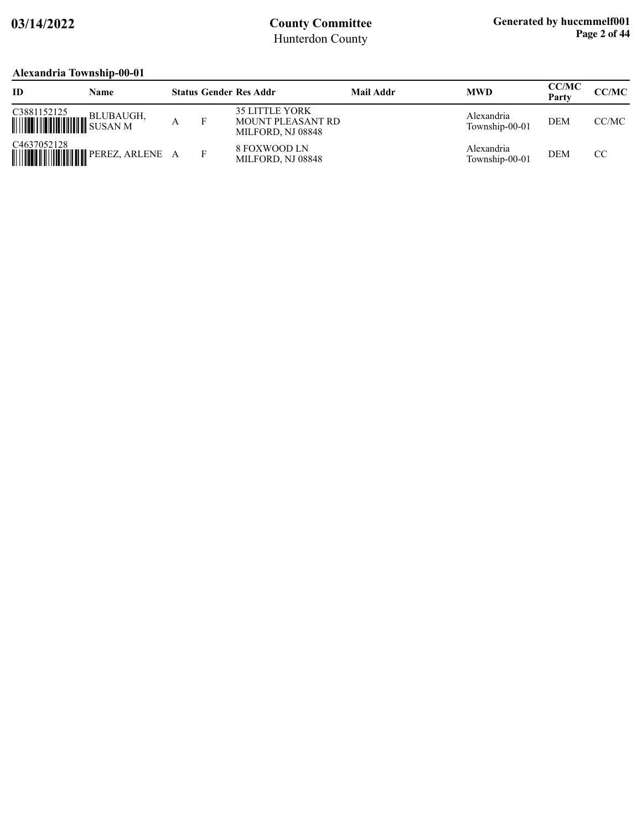### **Alexandria Township-00-01**

| ID                                             | Name      |  | <b>Status Gender Res Addr</b>                                          | <b>Mail Addr</b> | <b>MWD</b>                   | <b>CC/MC</b><br>Party | <b>CC/MC</b> |
|------------------------------------------------|-----------|--|------------------------------------------------------------------------|------------------|------------------------------|-----------------------|--------------|
| C3881152125<br><b>WEIGHT AND SUSAN MEDIANO</b> | BLUBAUGH, |  | <b>35 LITTLE YORK</b><br><b>MOUNT PLEASANT RD</b><br>MILFORD, NJ 08848 |                  | Alexandria<br>Township-00-01 | <b>DEM</b>            | CC/MC        |
| C <sub>4637052128</sub>                        |           |  | 8 FOXWOOD LN<br>MILFORD, NJ 08848                                      |                  | Alexandria<br>Township-00-01 | <b>DEM</b>            | CC.          |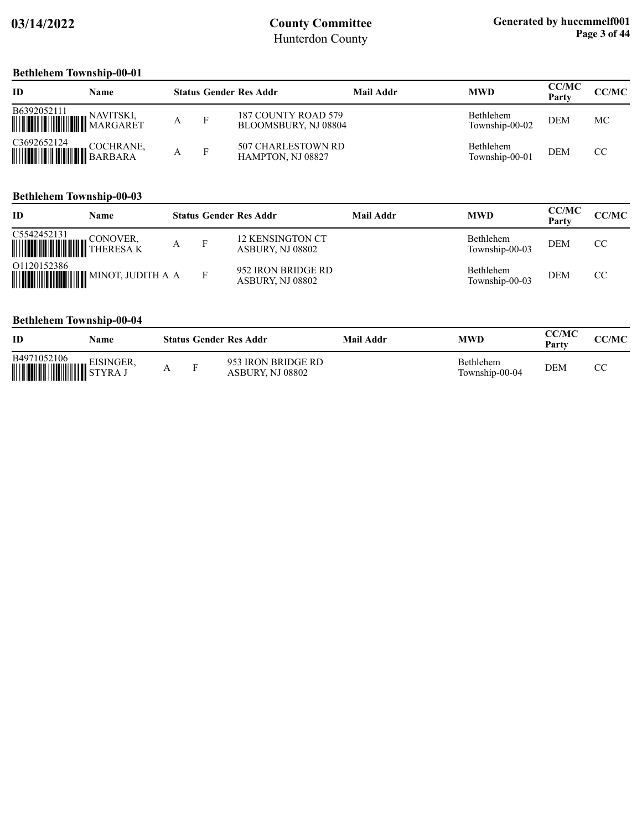## **Bethlehem Township-00-01**

| ID          | Name |   | <b>Status Gender Res Addr</b>               | Mail Addr | <b>MWD</b>                         | <b>CC/MC</b><br>Party | CC/MC |
|-------------|------|---|---------------------------------------------|-----------|------------------------------------|-----------------------|-------|
| B6392052111 |      | А | 187 COUNTY ROAD 579<br>BLOOMSBURY, NJ 08804 |           | <b>Bethlehem</b><br>Township-00-02 | <b>DEM</b>            | МC    |
| C3692652124 |      |   | 507 CHARLESTOWN RD<br>HAMPTON, NJ 08827     |           | <b>Bethlehem</b><br>Township-00-01 | <b>DEM</b>            | CC    |

### **Bethlehem Township-00-03**

| ID                                                        | Name |  | <b>Status Gender Res Addr</b>          | Mail Addr | <b>MWD</b>                  | <b>CC/MC</b><br>Party | CC/MC |
|-----------------------------------------------------------|------|--|----------------------------------------|-----------|-----------------------------|-----------------------|-------|
| C5542452131<br><b>WEIGHT AND SERVE CONOVER, THERESA K</b> |      |  | 12 KENSINGTON CT<br>ASBURY, NJ 08802   |           | Bethlehem<br>Township-00-03 | <b>DEM</b>            | CC    |
| 01120152386                                               |      |  | 952 IRON BRIDGE RD<br>ASBURY, NJ 08802 |           | Bethlehem<br>Township-00-03 | <b>DEM</b>            | CC.   |

### **Bethlehem Township-00-04**

| <b>ID</b>            | Name                       |   | <b>Status Gender Res Addr</b>          | Mail Addr | MWD                                | CC/MC<br>Party | CC/MC |
|----------------------|----------------------------|---|----------------------------------------|-----------|------------------------------------|----------------|-------|
| B4971052106<br>THUIL | <sup>52100</sup> EISINGER, | Е | 953 IRON BRIDGE RD<br>ASBURY, NJ 08802 |           | <b>Bethlehem</b><br>Township-00-04 | DEM            |       |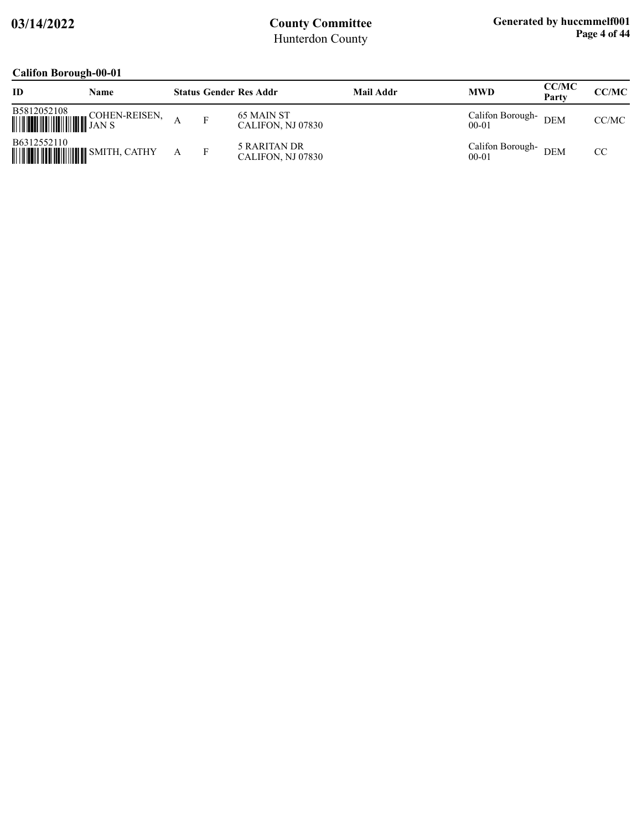### **Califon Borough-00-01**

| ີ<br>ID                                                | Name          |  | <b>Status Gender Res Addr</b>     | <b>Mail Addr</b> | <b>MWD</b>                    | <b>CC/MC</b><br>Party | <b>CC/MC</b> |
|--------------------------------------------------------|---------------|--|-----------------------------------|------------------|-------------------------------|-----------------------|--------------|
| B5812052108<br><b>WEIGHT AND STATES</b>                | COHEN-REISEN, |  | 65 MAIN ST<br>CALIFON, NJ 07830   |                  | Califon Borough-<br>$00 - 01$ | <b>DEM</b>            | CC/MC        |
| B6312552110<br><b>WEIGHT AND STATE OF SMITH, CATHY</b> |               |  | 5 RARITAN DR<br>CALIFON, NJ 07830 |                  | Califon Borough-<br>$00 - 01$ | <b>DEM</b>            | CC           |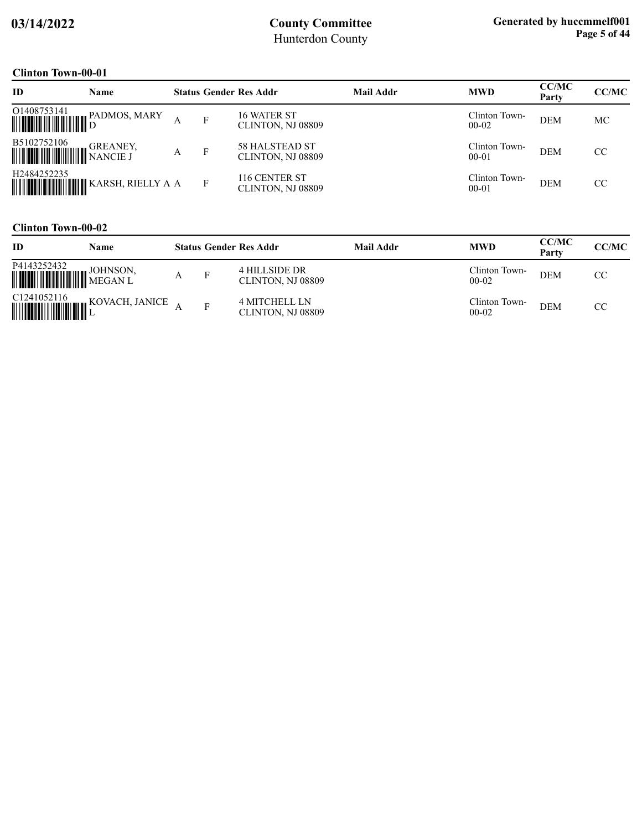### **Clinton Town-00-01**

| ID                                                                                                                                        | Name                                                                                          |   |   | <b>Status Gender Res Addr</b>              | <b>Mail Addr</b> | <b>MWD</b>                 | <b>CC/MC</b><br>Party | CC/MC |
|-------------------------------------------------------------------------------------------------------------------------------------------|-----------------------------------------------------------------------------------------------|---|---|--------------------------------------------|------------------|----------------------------|-----------------------|-------|
|                                                                                                                                           | $\begin{tabular}{ c c c c } \hline O1408753141 & PADMOS, MARK \\ \hline \hline \end{tabular}$ |   | F | 16 WATER ST<br>CLINTON, NJ 08809           |                  | Clinton Town-<br>$00-02$   | <b>DEM</b>            | МC    |
| $\begin{tabular}{ c c c } \hline \textbf{B5102752106} & \textbf{GReANEY} \\ \hline \textbf{m} & \textbf{NANCE J} \\ \hline \end{tabular}$ | GREANEY,                                                                                      | А | F | <b>58 HALSTEAD ST</b><br>CLINTON, NJ 08809 |                  | Clinton Town-<br>$00 - 01$ | <b>DEM</b>            | CC    |
| H <sub>2484252235</sub>                                                                                                                   |                                                                                               |   | F | 116 CENTER ST<br>CLINTON, NJ 08809         |                  | Clinton Town-<br>$00 - 01$ | <b>DEM</b>            | CC    |

### **Clinton Town-00-02**

| ID          | Name |  | <b>Status Gender Res Addr</b>             | <b>Mail Addr</b> | <b>MWD</b>                 | <b>CC/MC</b><br>Party | CC/MC     |
|-------------|------|--|-------------------------------------------|------------------|----------------------------|-----------------------|-----------|
| P4143252432 |      |  | 4 HILLSIDE DR<br>CLINTON, NJ 08809        |                  | Clinton Town-<br>$00-02$   | <b>DEM</b>            | <b>CC</b> |
|             |      |  | <b>4 MITCHELL LN</b><br>CLINTON, NJ 08809 |                  | Clinton Town-<br>$00 - 02$ | <b>DEM</b>            | CC        |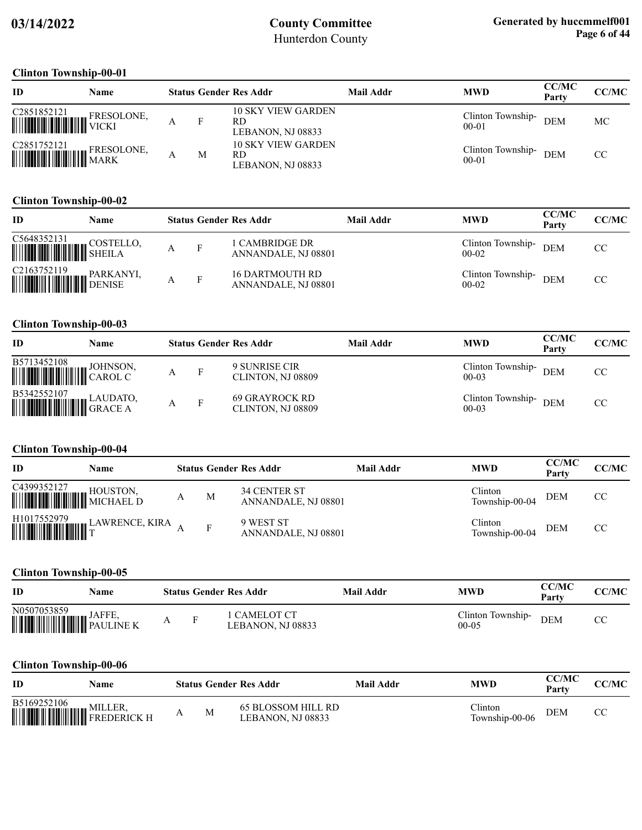#### **Clinton Township-00-01**

| ID                     | <b>Name</b> |   | <b>Status Gender Res Addr</b>                         | Mail Addr | <b>MWD</b>                     | <b>CC/MC</b><br>Party | <b>CC/MC</b> |
|------------------------|-------------|---|-------------------------------------------------------|-----------|--------------------------------|-----------------------|--------------|
| C2851852121 FRESOLONE, |             |   | <b>10 SKY VIEW GARDEN</b><br>RD.<br>LEBANON, NJ 08833 |           | Clinton Township-<br>$00 - 01$ | <b>DEM</b>            | МC           |
| C2851752121 FRESOLONE, |             | М | <b>10 SKY VIEW GARDEN</b><br>RD.<br>LEBANON, NJ 08833 |           | Clinton Township-<br>$00 - 01$ | <b>DEM</b>            | CC           |

### **Clinton Township-00-02**

| ID                                                                                                                                                                                                                                                                                                                                                                                                                              | Name                |              | <b>Status Gender Res Addr</b>          | Mail Addr | <b>MWD</b>                   | <b>CC/MC</b><br>Party | CC/MC |
|---------------------------------------------------------------------------------------------------------------------------------------------------------------------------------------------------------------------------------------------------------------------------------------------------------------------------------------------------------------------------------------------------------------------------------|---------------------|--------------|----------------------------------------|-----------|------------------------------|-----------------------|-------|
| $\begin{tabular}{ c c c c } \hline C5648352131 & \text{COSTEL} \\ \hline \hline \end{tabular}$                                                                                                                                                                                                                                                                                                                                  | <b>EXECUTELLO</b> , | $\mathbf{F}$ | 1 CAMBRIDGE DR<br>ANNANDALE, NJ 08801  |           | Clinton Township-<br>$00-02$ | <b>DEM</b>            | CC    |
| $\begin{tabular}{ c c c } \hline C2163752119 & PARKANYI, \\ \hline \hline \end{tabular} \begin{tabular}{ c c c c } \hline PARKANYI, \\ \hline \end{tabular} \begin{tabular}{ c c c c c } \hline \end{tabular} \end{tabular} \begin{tabular}{ c c c c c } \hline \end{tabular} \begin{tabular}{ c c c c c } \hline \end{tabular} \end{tabular} \begin{tabular}{ c c c c c } \hline \end{tabular} \begin{tabular}{ c c c c c } \$ |                     | $\mathbf{F}$ | 16 DARTMOUTH RD<br>ANNANDALE, NJ 08801 |           | Clinton Township-<br>$00-02$ | DEM                   | CC    |

#### **Clinton Township-00-03**

| ID                                                                                                                                                              | Name |  | <b>Status Gender Res Addr</b>       | Mail Addr | <b>MWD</b>                         | <b>CC/MC</b><br>Party | CC/MC |
|-----------------------------------------------------------------------------------------------------------------------------------------------------------------|------|--|-------------------------------------|-----------|------------------------------------|-----------------------|-------|
| B5713452108 JOHNSON,                                                                                                                                            |      |  | 9 SUNRISE CIR<br>CLINTON, NJ 08809  |           | Clinton Township- DEM<br>$00 - 03$ |                       | CC.   |
| $\begin{tabular}{ c c c } \hline \textbf{B5342552107} & \textbf{\texttt{LAUDATO}}, \\ \hline \textbf{IMLI} & \textbf{\texttt{GRACE A}} \\ \hline \end{tabular}$ |      |  | 69 GRAYROCK RD<br>CLINTON, NJ 08809 |           | Clinton Township-<br>$00 - 03$     | <b>DEM</b>            | CC    |

### **Clinton Township-00-04**

| ID                            | Name                                                                                                |   | <b>Status Gender Res Addr</b>       | Mail Addr | <b>MWD</b>                | <b>CC/MC</b><br>Party | CC/MC         |
|-------------------------------|-----------------------------------------------------------------------------------------------------|---|-------------------------------------|-----------|---------------------------|-----------------------|---------------|
| C4399352127 HOUSTON, HOUSTON, |                                                                                                     | M | 34 CENTER ST<br>ANNANDALE, NJ 08801 |           | Clinton<br>Township-00-04 | <b>DEM</b>            | <sub>CC</sub> |
|                               | $\begin{tabular}{ c c c c } \hline H1017552979 & LAWRENCE, KIRA & A \\ \hline \hline \end{tabular}$ |   | 9 WEST ST<br>ANNANDALE, NJ 08801    |           | Clinton<br>Township-00-04 | <b>DEM</b>            | CC            |

### **Clinton Township-00-05**

| ID                                        | Name          |          | <b>Status Gender Res Addr</b>   | Mail Addr | MWD                            | CC/MC<br>Party | CC/MC |
|-------------------------------------------|---------------|----------|---------------------------------|-----------|--------------------------------|----------------|-------|
| N0507053859<br><b>WEIGHT HE SALLINE K</b> | <b>JAFFE.</b> | <b>D</b> | CAMELOT CT<br>LEBANON, NJ 08833 |           | Clinton Township-<br>$00 - 05$ | <b>DEM</b>     |       |

### **Clinton Township-00-06**

| ID          | Name |   |                 | <b>Status Gender Res Addr</b>           | Mail Addr | MWD                               | <b>CC/MC</b><br>Party | CC/MC |
|-------------|------|---|-----------------|-----------------------------------------|-----------|-----------------------------------|-----------------------|-------|
| B5169252106 |      | л | <b>A</b> A<br>M | 65 BLOSSOM HILL RD<br>LEBANON. NJ 08833 |           | $\gamma$ linton<br>Township-00-06 | <b>DEM</b>            | CС    |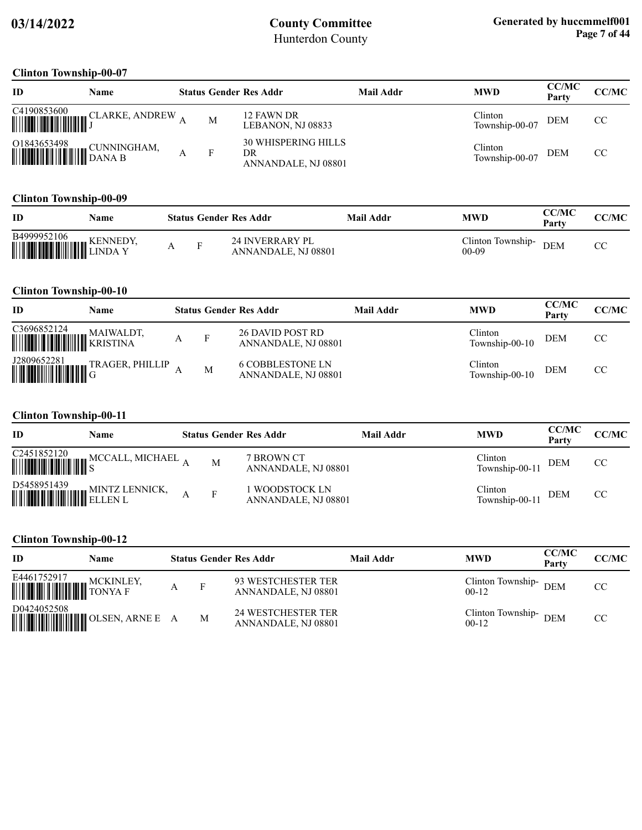#### **Clinton Township-00-07**

| ID | <b>Name</b> |   | <b>Status Gender Res Addr</b>                           | Mail Addr | <b>MWD</b>                | <b>CC/MC</b><br>Party | <b>CC/MC</b>  |
|----|-------------|---|---------------------------------------------------------|-----------|---------------------------|-----------------------|---------------|
|    |             | М | 12 FAWN DR<br>LEBANON, NJ 08833                         |           | Clinton<br>Township-00-07 | <b>DEM</b>            | <sub>CC</sub> |
|    |             |   | <b>30 WHISPERING HILLS</b><br>DR<br>ANNANDALE, NJ 08801 |           | Clinton<br>Township-00-07 | <b>DEM</b>            | CC.           |

### **Clinton Township-00-09**

| ID                                                                                                                                                                   | Name |  | <b>Status Gender Res Addr</b>                 | Mail Addr | <b>MWD</b>                   | CC/MC<br>Party | <b>CC/MC</b> |
|----------------------------------------------------------------------------------------------------------------------------------------------------------------------|------|--|-----------------------------------------------|-----------|------------------------------|----------------|--------------|
| $\begin{tabular}{ c c c c } \hline \textbf{B4999952106} & \textbf{\texttt{KENNEDY}}\\ \hline \textbf{\texttt{M}} & \textbf{\texttt{LINDA Y}}\\ \hline \end{tabular}$ |      |  | <b>24 INVERRARY PL</b><br>ANNANDALE, NJ 08801 |           | Clinton Township-<br>$00-09$ | <b>DEM</b>     |              |

#### **Clinton Township-00-10**

| ID                                                                                                                                                                           | <b>Name</b>                                                                                                    |   | <b>Status Gender Res Addr</b>                  | Mail Addr | <b>MWD</b>                | <b>CC/MC</b><br>Party | CC/MC |
|------------------------------------------------------------------------------------------------------------------------------------------------------------------------------|----------------------------------------------------------------------------------------------------------------|---|------------------------------------------------|-----------|---------------------------|-----------------------|-------|
| $\begin{tabular}{ c c c } \hline C3696852124 & \text{MAIWALDT,} \\ \hline \hline \end{tabular} \begin{tabular}{ c c c c } \hline MAIWALDT, KRISTINA \\ \hline \end{tabular}$ |                                                                                                                |   | 26 DAVID POST RD<br>ANNANDALE, NJ 08801        |           | Clinton<br>Township-00-10 | DEM                   | CC    |
|                                                                                                                                                                              | ${\small \begin{tabular}{ c c c } \hline J2809652281 & \text{TRAGER, PHILLIP} \\ \hline \hline \end{tabular}}$ | M | <b>6 COBBLESTONE LN</b><br>ANNANDALE, NJ 08801 |           | Clinton<br>Township-00-10 | <b>DEM</b>            | CC    |

#### **Clinton Township-00-11**

| ID | Name                                     |              | <b>Status Gender Res Addr</b>         | Mail Addr | <b>MWD</b>                | CC/MC<br>Party | <b>CC/MC</b> |
|----|------------------------------------------|--------------|---------------------------------------|-----------|---------------------------|----------------|--------------|
|    | C2451852120 MCCALL, MICHAEL $_{\rm A}$   | M            | 7 BROWN CT<br>ANNANDALE, NJ 08801     |           | Clinton<br>Township-00-11 | DEM            | CC           |
|    | D5458951439<br>MINTZ LENNICK,<br>ELLEN L | $\mathbf{F}$ | 1 WOODSTOCK LN<br>ANNANDALE, NJ 08801 |           | Clinton<br>Township-00-11 | DEM            | CC           |

### **Clinton Township-00-12**

| ID                                                                                                                                         | Name                                                                                                                  |   | <b>Status Gender Res Addr</b>                    | Mail Addr | <b>MWD</b>                       | <b>CC/MC</b><br>Party | <b>CC/MC</b> |
|--------------------------------------------------------------------------------------------------------------------------------------------|-----------------------------------------------------------------------------------------------------------------------|---|--------------------------------------------------|-----------|----------------------------------|-----------------------|--------------|
| $\begin{tabular}{ c c c c } \hline \textbf{$\sf E4461752917}$ & \textbf{MCKINLE}\\ \hline \textbf{MOMIM} & \textbf{TONYA F} \end{tabular}$ | <b>MCKINLEY,</b>                                                                                                      | F | 93 WESTCHESTER TER<br>ANNANDALE, NJ 08801        |           | Clinton Township- DEM<br>$00-12$ |                       | CC           |
| D0424052508                                                                                                                                | <b>WEIGHT THE SET OF SERVICE OF A SET OF SET OF A SET OF A SET OF A SET OF A SET OF SET OF SET OF SET OF SET OF S</b> | M | <b>24 WESTCHESTER TER</b><br>ANNANDALE, NJ 08801 |           | Clinton Township-DEM<br>$00-12$  |                       | CC           |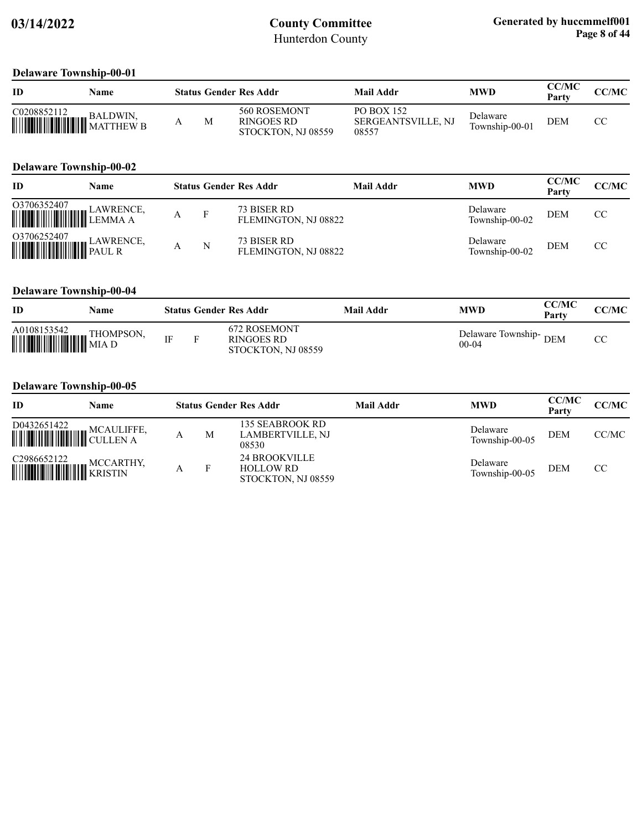#### **Delaware Township-00-01**

| ID                              | Name     |  | <b>Status Gender Res Addr</b>                    | Mail Addr                                        | <b>MWD</b>                 | <b>CC/MC</b><br>Party | <b>CC/MC</b> |
|---------------------------------|----------|--|--------------------------------------------------|--------------------------------------------------|----------------------------|-----------------------|--------------|
| C0208852112<br>WILLIAM SALDWIN, | BALDWIN, |  | 560 ROSEMONT<br>RINGOES RD<br>STOCKTON, NJ 08559 | PO BOX 152<br><b>SERGEANTSVILLE, NJ</b><br>08557 | Delaware<br>Township-00-01 | <b>DEM</b>            | СC           |

#### **Delaware Township-00-02**

| <b>ID</b>                                                                                                                                                                          | Name |   | <b>Status Gender Res Addr</b>       | Mail Addr | <b>MWD</b>                 | <b>CC/MC</b><br>Party | <b>CC/MC</b> |
|------------------------------------------------------------------------------------------------------------------------------------------------------------------------------------|------|---|-------------------------------------|-----------|----------------------------|-----------------------|--------------|
| $\fbox{03706352407}\label{eq:03706352407} \begin{tabular}{ c c c c c } \hline \multicolumn{3}{ c }{\textbf{03706352407}} & \multicolumn{3}{ c }{\textbf{LawRENCE}}, \end{tabular}$ |      |   | 73 BISER RD<br>FLEMINGTON, NJ 08822 |           | Delaware<br>Township-00-02 | <b>DEM</b>            | CC           |
|                                                                                                                                                                                    |      | N | 73 BISER RD<br>FLEMINGTON, NJ 08822 |           | Delaware<br>Township-00-02 | <b>DEM</b>            | CC           |

#### **Delaware Township-00-04**

| ID          | Name |           | <b>Status Gender Res Addr</b>                    | Mail Addr | MWD                                    | CC/MC<br>Party | CC/MC |
|-------------|------|-----------|--------------------------------------------------|-----------|----------------------------------------|----------------|-------|
| A0108153542 |      | <b>IE</b> | 672 ROSEMONT<br>RINGOES RD<br>STOCKTON, NJ 08559 |           | Delaware Township-<br>DEM<br>$00 - 04$ |                | СC    |

#### **Delaware Township-00-05**

| <b>ID</b>                                                                                                                                                                                                                                                                                                                                                                                                                          | Name |   | <b>Status Gender Res Addr</b>                                  | Mail Addr | <b>MWD</b>                 | <b>CC/MC</b><br>Party | CC/MC |
|------------------------------------------------------------------------------------------------------------------------------------------------------------------------------------------------------------------------------------------------------------------------------------------------------------------------------------------------------------------------------------------------------------------------------------|------|---|----------------------------------------------------------------|-----------|----------------------------|-----------------------|-------|
| $\fbox{\parbox{1.5cm} \begin{picture}(10,6) \label{fig:2} \put(0,0){\dashbox{0.5cm} \begin{picture}(10,6) \label{fig:2} \put(0,0){\dashbox{0.5cm} \begin{picture}(10,6) \label{fig:2} \put(0,0){\dashbox{0.5cm} \begin{picture}(10,6) \label{fig:2} \put(0,0){\dashbox{0.5cm} \begin{picture}(10,6) \label{fig:2} \put(0,0){\dashbox{0.5cm} \begin{picture}(10,6) \label{fig:2} \put(0,0){\dashbox{0.5cm} \begin{picture}(10,6) \$ |      | M | 135 SEABROOK RD<br><b>LAMBERTVILLE, NJ</b><br>08530            |           | Delaware<br>Township-00-05 | <b>DEM</b>            | CC/MC |
| C2986652122                                                                                                                                                                                                                                                                                                                                                                                                                        |      |   | <b>24 BROOKVILLE</b><br><b>HOLLOW RD</b><br>STOCKTON, NJ 08559 |           | Delaware<br>Township-00-05 | <b>DEM</b>            | CC    |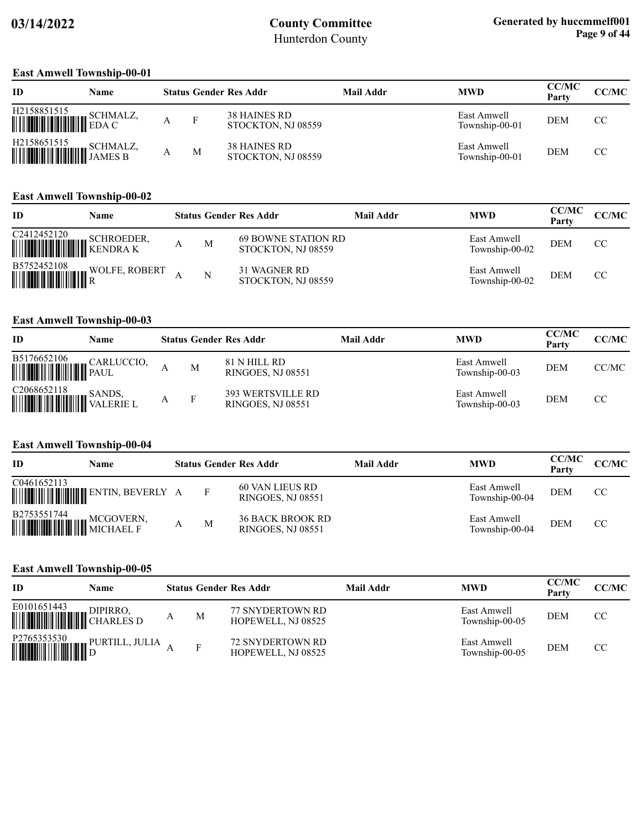#### **East Amwell Township-00-01**

| ID                                                                                                                                                            | Name |   | <b>Status Gender Res Addr</b>             | Mail Addr | <b>MWD</b>                    | <b>CC/MC</b><br>Party | <b>CC/MC</b> |
|---------------------------------------------------------------------------------------------------------------------------------------------------------------|------|---|-------------------------------------------|-----------|-------------------------------|-----------------------|--------------|
| $\begin{tabular}{ c c c c } \hline H2158851515 & SCHMALZ, \\ \hline \hline \end{tabular} \begin{tabular}{ c c c c c } \hline EDA & C \\ \hline \end{tabular}$ |      | F | <b>38 HAINES RD</b><br>STOCKTON, NJ 08559 |           | East Amwell<br>Township-00-01 | <b>DEM</b>            | CC           |
|                                                                                                                                                               |      | M | <b>38 HAINES RD</b><br>STOCKTON, NJ 08559 |           | East Amwell<br>Township-00-01 | <b>DEM</b>            | CC           |

### **East Amwell Township-00-02**

| ID                                                               | Name              |   | <b>Status Gender Res Addr</b>                    | Mail Addr | <b>MWD</b>                    | <b>CC/MC</b><br>Party | CC/MC         |
|------------------------------------------------------------------|-------------------|---|--------------------------------------------------|-----------|-------------------------------|-----------------------|---------------|
| C <sub>24</sub> 12452120<br><b>WEIGHT AND SURVEY DESCRIPTION</b> | <b>SCHROEDER,</b> | M | <b>69 BOWNE STATION RD</b><br>STOCKTON, NJ 08559 |           | East Amwell<br>Township-00-02 | <b>DEM</b>            | <sub>CC</sub> |
| B5752452108                                                      | WOLFE, ROBERT     | N | 31 WAGNER RD<br>STOCKTON, NJ 08559               |           | East Amwell<br>Township-00-02 | <b>DEM</b>            | CC.           |

### **East Amwell Township-00-03**

| ID | Name |   | <b>Status Gender Res Addr</b>                 | Mail Addr | <b>MWD</b>                    | <b>CC/MC</b><br>Party | CC/MC |
|----|------|---|-----------------------------------------------|-----------|-------------------------------|-----------------------|-------|
|    |      | M | 81 N HILL RD<br>RINGOES, NJ 08551             |           | East Amwell<br>Township-00-03 | <b>DEM</b>            | CC/MC |
|    |      | F | <b>393 WERTSVILLE RD</b><br>RINGOES, NJ 08551 |           | East Amwell<br>Township-00-03 | <b>DEM</b>            | CC    |

### **East Amwell Township-00-04**

| ID                                                                                                    | Name |              | <b>Status Gender Res Addr</b>                       | Mail Addr | <b>MWD</b>                    | <b>CC/MC</b><br>Party | CC/MC         |
|-------------------------------------------------------------------------------------------------------|------|--------------|-----------------------------------------------------|-----------|-------------------------------|-----------------------|---------------|
| C0461652113                                                                                           |      | $\mathbf{F}$ | 60 VAN LIEUS RD<br><b>RINGOES, NJ 08551</b>         |           | East Amwell<br>Township-00-04 | <b>DEM</b>            | <sub>CC</sub> |
| $\begin{tabular}{ c c c } \hline B2753551744 & \text{MCGOVERN}, \\ \hline \end{tabular}$<br>MICHAEL F |      | M            | <b>36 BACK BROOK RD</b><br><b>RINGOES, NJ 08551</b> |           | East Amwell<br>Township-00-04 | <b>DEM</b>            | CC            |

#### **East Amwell Township-00-05**

| <b>ID</b>                                                                                                                                                                                                                                                                                                                                                                                                                            | Name           |   | <b>Status Gender Res Addr</b>                 | Mail Addr | <b>MWD</b>                    | <b>CC/MC</b><br>Party | <b>CC/MC</b> |
|--------------------------------------------------------------------------------------------------------------------------------------------------------------------------------------------------------------------------------------------------------------------------------------------------------------------------------------------------------------------------------------------------------------------------------------|----------------|---|-----------------------------------------------|-----------|-------------------------------|-----------------------|--------------|
| E0101651443<br><b>WE ARE SET OF STREET SET OF STREET SET OF STREET SET OF STREET SET OF STREET SET OF STREET S</b>                                                                                                                                                                                                                                                                                                                   | DIPIRRO.       | M | <b>77 SNYDERTOWN RD</b><br>HOPEWELL, NJ 08525 |           | East Amwell<br>Township-00-05 | <b>DEM</b>            | CC           |
| $\begin{tabular}{ c c c c } \hline P2765353530 & P1 \\ \hline \hline \multicolumn{1}{ c }{\textbf{P1}} & \multicolumn{1}{ c }{\textbf{P2}} \\ \hline \multicolumn{1}{ c }{\textbf{P3}} & \multicolumn{1}{ c }{\textbf{P4}} \\ \hline \multicolumn{1}{ c }{\textbf{P5}} & \multicolumn{1}{ c }{\textbf{P6}} \\ \hline \multicolumn{1}{ c }{\textbf{P6}} & \multicolumn{1}{ c }{\textbf{P6}} \\ \hline \multicolumn{1}{ c }{\textbf{P$ | PURTILL, JULIA |   | <b>72 SNYDERTOWN RD</b><br>HOPEWELL, NJ 08525 |           | East Amwell<br>Township-00-05 | <b>DEM</b>            | CC.          |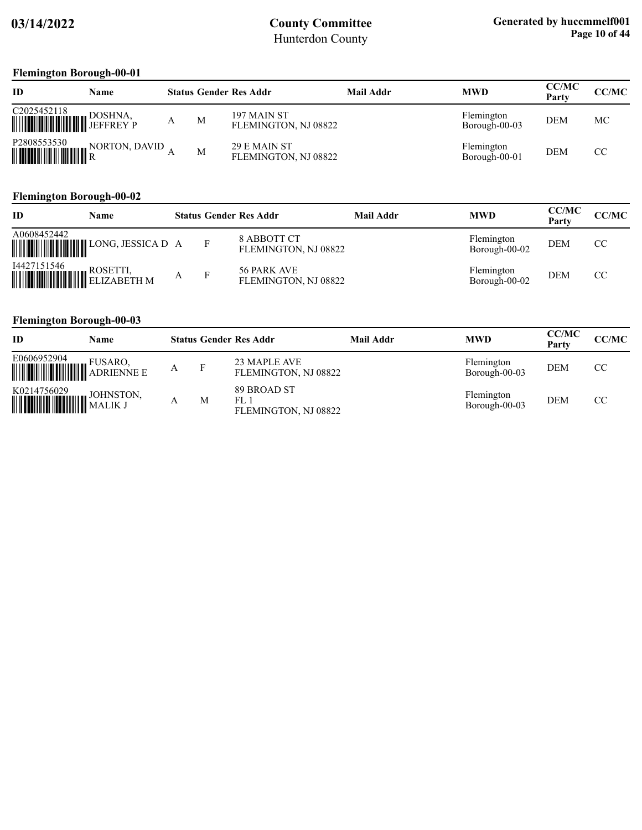### **Flemington Borough-00-01**

| ID                         | Name          |   |   | <b>Status Gender Res Addr</b>        | Mail Addr | <b>MWD</b>                  | <b>CC/MC</b><br>Party | CC/MC         |
|----------------------------|---------------|---|---|--------------------------------------|-----------|-----------------------------|-----------------------|---------------|
| C2025452118<br>WHITHEREY P | DOSHNA,       | А | M | 197 MAIN ST<br>FLEMINGTON, NJ 08822  |           | Flemington<br>Borough-00-03 | <b>DEM</b>            | МC            |
| P2808553530                | NORTON, DAVID |   | M | 29 E MAIN ST<br>FLEMINGTON, NJ 08822 |           | Flemington<br>Borough-00-01 | <b>DEM</b>            | <sub>CC</sub> |

### **Flemington Borough-00-02**

| ID          | Name |  | <b>Status Gender Res Addr</b>       | Mail Addr | <b>MWD</b>                  | <b>CC/MC</b><br>Party | <b>CC/MC</b> |
|-------------|------|--|-------------------------------------|-----------|-----------------------------|-----------------------|--------------|
| A0608452442 |      |  | 8 ABBOTT CT<br>FLEMINGTON, NJ 08822 |           | Flemington<br>Borough-00-02 | <b>DEM</b>            | CC           |
| 14427151546 |      |  | 56 PARK AVE<br>FLEMINGTON, NJ 08822 |           | Flemington<br>Borough-00-02 | <b>DEM</b>            | CC           |

### **Flemington Borough-00-03**

| ID                                                                                               | Name |   |   | <b>Status Gender Res Addr</b>              | Mail Addr | <b>MWD</b>                  | <b>CC/MC</b><br>Party | CC/MC |
|--------------------------------------------------------------------------------------------------|------|---|---|--------------------------------------------|-----------|-----------------------------|-----------------------|-------|
|                                                                                                  |      | A |   | 23 MAPLE AVE<br>FLEMINGTON, NJ 08822       |           | Flemington<br>Borough-00-03 | <b>DEM</b>            | CC    |
| $\begin{tabular}{ c c c } \hline K0214756029 & JOHNSTON, \\ \hline \hline \end{tabular}$ MALIK J |      |   | М | 89 BROAD ST<br>FL1<br>FLEMINGTON, NJ 08822 |           | Flemington<br>Borough-00-03 | <b>DEM</b>            | CC    |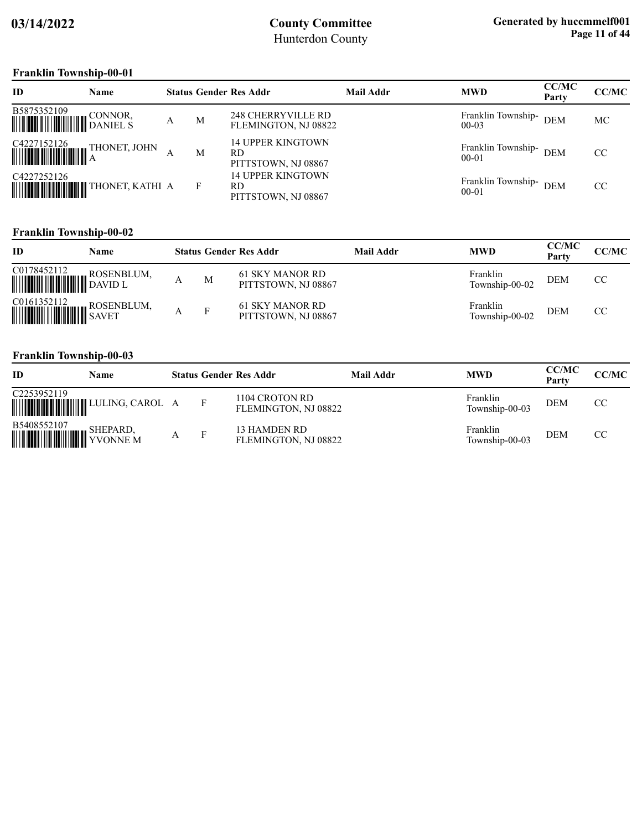### **Franklin Township-00-01**

| ID                                                                                  | <b>Name</b>  |   |   | <b>Status Gender Res Addr</b>                   | <b>Mail Addr</b> | <b>MWD</b>                          | CC/MC<br>Party | CC/MC |
|-------------------------------------------------------------------------------------|--------------|---|---|-------------------------------------------------|------------------|-------------------------------------|----------------|-------|
| B5875352109 CONNOR, THE BEST STATED BANIEL S                                        |              | А | M | 248 CHERRYVILLE RD<br>FLEMINGTON, NJ 08822      |                  | Franklin Township-<br>$00-03$       | <b>DEM</b>     | МC    |
| $\begin{tabular}{ c c c c } \hline C4227152126 & T1 \\ \hline \hline \end{tabular}$ | THONET, JOHN |   | M | 14 UPPER KINGTOWN<br>RD.<br>PITTSTOWN, NJ 08867 |                  | Franklin Township- DEM<br>$00 - 01$ |                | CC.   |
| C4227252126                                                                         |              |   | F | 14 UPPER KINGTOWN<br>RD<br>PITTSTOWN, NJ 08867  |                  | Franklin Township-<br>$00 - 01$     | <b>DEM</b>     | CC    |

### **Franklin Township-00-02**

| ID                                                                                                                                             | Name |   | <b>Status Gender Res Addr</b>          | Mail Addr | <b>MWD</b>                 | <b>CC/MC</b><br>Party | <b>CC/MC</b>  |
|------------------------------------------------------------------------------------------------------------------------------------------------|------|---|----------------------------------------|-----------|----------------------------|-----------------------|---------------|
| C0178452112<br><b>WEIGHT THE ROSENBLUM,</b>                                                                                                    |      | M | 61 SKY MANOR RD<br>PITTSTOWN, NJ 08867 |           | Franklin<br>Township-00-02 | <b>DEM</b>            | <sub>CC</sub> |
| $\begin{tabular}{ c c c } \hline \textbf{CO161352112} & \textbf{ROSENBLUM}, \\ \hline \textbf{WWWWW} & \textbf{SAVET} \\ \hline \end{tabular}$ |      | F | 61 SKY MANOR RD<br>PITTSTOWN, NJ 08867 |           | Franklin<br>Township-00-02 | <b>DEM</b>            | CC            |

### **Franklin Township-00-03**

| ID                                                                                                                                            | Name |  | <b>Status Gender Res Addr</b>          | Mail Addr | <b>MWD</b>                 | <b>CC/MC</b><br>Party | <b>CC/MC</b> |
|-----------------------------------------------------------------------------------------------------------------------------------------------|------|--|----------------------------------------|-----------|----------------------------|-----------------------|--------------|
| C2253952119                                                                                                                                   |      |  | 1104 CROTON RD<br>FLEMINGTON, NJ 08822 |           | Franklin<br>Township-00-03 | <b>DEM</b>            | CC           |
| $\begin{tabular}{ c c c } \hline \textbf{B5408552107} & \textbf{SHEPARD,} \\ \hline \textbf{WWW} & \textbf{YVONNE M} \\ \hline \end{tabular}$ |      |  | 13 HAMDEN RD<br>FLEMINGTON, NJ 08822   |           | Franklin<br>Township-00-03 | <b>DEM</b>            | CC.          |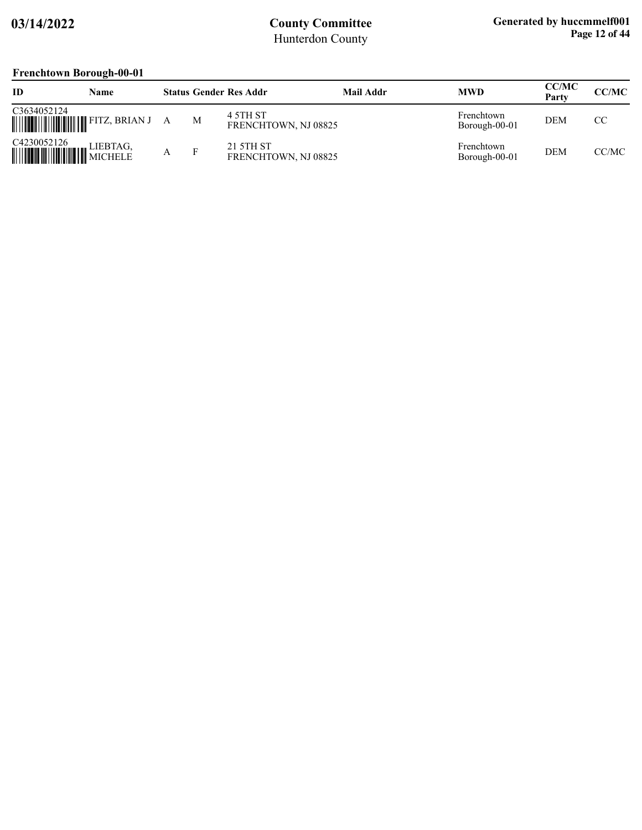### **Frenchtown Borough-00-01**

| <b>ID</b>              | Name                                                                                                                  |   |   | <b>Status Gender Res Addr</b>     | Mail Addr | <b>MWD</b>                  | <b>CC/MC</b><br>Party | CC/MC |
|------------------------|-----------------------------------------------------------------------------------------------------------------------|---|---|-----------------------------------|-----------|-----------------------------|-----------------------|-------|
| C3634052124            | <b>WEIGHT AND SET AND SET OF START AND SET OF START AND SET OF START AND SET OF START SET OF START START SET OF S</b> | A | M | 4 5TH ST<br>FRENCHTOWN, NJ 08825  |           | Frenchtown<br>Borough-00-01 | <b>DEM</b>            | CC    |
| C4230052126<br>MICHELE | LIEBTAG,                                                                                                              |   | Е | 21 5TH ST<br>FRENCHTOWN, NJ 08825 |           | Frenchtown<br>Borough-00-01 | <b>DEM</b>            | CC/MC |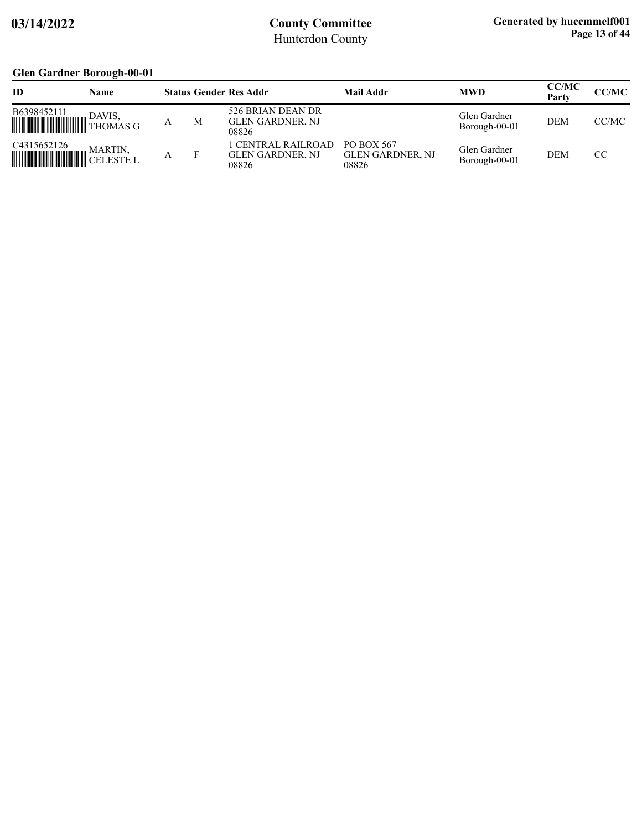## **Glen Gardner Borough-00-01**

| ID                        | Name                                       |   | <b>Status Gender Res Addr</b>                  | Mail Addr                                      | <b>MWD</b>                    | <b>CC/MC</b><br>Party | CC/MC |
|---------------------------|--------------------------------------------|---|------------------------------------------------|------------------------------------------------|-------------------------------|-----------------------|-------|
| B6398452111               | DAVIS.<br><b>WILLES</b> DAVIS,<br>THOMAS G | M | 526 BRIAN DEAN DR<br>GLEN GARDNER, NJ<br>08826 |                                                | Glen Gardner<br>Borough-00-01 | <b>DEM</b>            | CC/MC |
| C4315652126<br>WHITHERE L | MARTIN,                                    |   | LCENTRAL RAILROAD<br>GLEN GARDNER, NJ<br>08826 | PO BOX 567<br><b>GLEN GARDNER, NJ</b><br>08826 | Glen Gardner<br>Borough-00-01 | <b>DEM</b>            | CC    |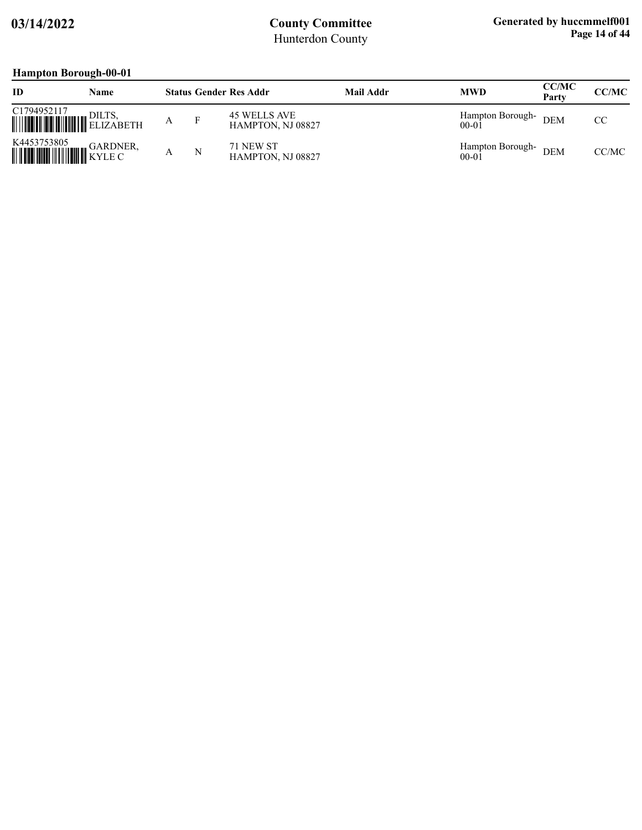# **Hampton Borough-00-01**

| ID                                          | Name     |   | <b>Status Gender Res Addr</b>     | <b>Mail Addr</b> | <b>MWD</b>                    | <b>CC/MC</b><br>Party | <b>CC/MC</b> |
|---------------------------------------------|----------|---|-----------------------------------|------------------|-------------------------------|-----------------------|--------------|
| C1794952117<br><b>WEIGHT AND ALL AREADS</b> | DILTS.   |   | 45 WELLS AVE<br>HAMPTON, NJ 08827 |                  | Hampton Borough-<br>$00 - 01$ | <b>DEM</b>            | CC.          |
| K4453753805<br><b>HILLING CONSERVER</b>     | GARDNER, | N | 71 NEW ST<br>HAMPTON, NJ 08827    |                  | Hampton Borough-<br>$00 - 01$ | <b>DEM</b>            | CC/MC        |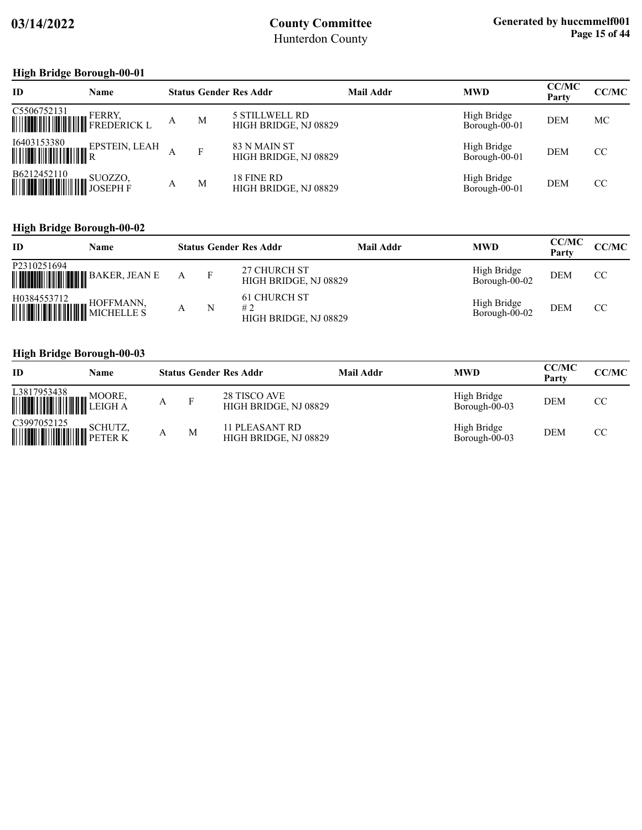### **High Bridge Borough-00-01**

| <b>ID</b>                  | <b>Name</b>                                                                                                                                      |   |   | <b>Status Gender Res Addr</b>                  | <b>Mail Addr</b> | <b>MWD</b>                   | <b>CC/MC</b><br>Party | CC/MC         |
|----------------------------|--------------------------------------------------------------------------------------------------------------------------------------------------|---|---|------------------------------------------------|------------------|------------------------------|-----------------------|---------------|
| C5506752131<br>WWWW. ERRY, |                                                                                                                                                  | A | M | <b>5 STILLWELL RD</b><br>HIGH BRIDGE, NJ 08829 |                  | High Bridge<br>Borough-00-01 | <b>DEM</b>            | МC            |
|                            | $\begin{tabular}{ c c c c } \hline \text{I6403153380} & \text{EPSTEIN, LEAH} \\ \hline \text{I} & \text{II} & \text{II} \\ \hline \end{tabular}$ |   | F | 83 N MAIN ST<br>HIGH BRIDGE, NJ 08829          |                  | High Bridge<br>Borough-00-01 | <b>DEM</b>            | <sub>CC</sub> |
| B6212452110                |                                                                                                                                                  | А | M | 18 FINE RD<br>HIGH BRIDGE, NJ 08829            |                  | High Bridge<br>Borough-00-01 | <b>DEM</b>            | CC            |

### **High Bridge Borough-00-02**

| ID                                                                                                                                    | Name |   | <b>Status Gender Res Addr</b>                      | Mail Addr | <b>MWD</b>                   | <b>CC/MC</b><br>Party | CC/MC |
|---------------------------------------------------------------------------------------------------------------------------------------|------|---|----------------------------------------------------|-----------|------------------------------|-----------------------|-------|
| P2310251694                                                                                                                           |      |   | 27 CHURCH ST<br>HIGH BRIDGE, NJ 08829              |           | High Bridge<br>Borough-00-02 | <b>DEM</b>            | CC    |
| $\begin{tabular}{ c c c c } \hline H0384553712 & \multicolumn{3}{ c }{HOFFMANN}, \hline \multicolumn{3}{ c }{MICHELLE} \end{tabular}$ |      | N | <b>61 CHURCH ST</b><br>#2<br>HIGH BRIDGE, NJ 08829 |           | High Bridge<br>Borough-00-02 | <b>DEM</b>            | CC.   |

### **High Bridge Borough-00-03**

| ID                           | Name   |   |   | <b>Status Gender Res Addr</b>           | Mail Addr | <b>MWD</b>                   | <b>CC/MC</b><br>Party | <b>CC/MC</b>  |
|------------------------------|--------|---|---|-----------------------------------------|-----------|------------------------------|-----------------------|---------------|
| L3817953438<br><b>WOOKE,</b> | MOORE. |   | F | 28 TISCO AVE<br>HIGH BRIDGE, NJ 08829   |           | High Bridge<br>Borough-00-03 | <b>DEM</b>            | CC.           |
| C3997052125<br>SCHUTZ,       |        | Α | M | 11 PLEASANT RD<br>HIGH BRIDGE, NJ 08829 |           | High Bridge<br>Borough-00-03 | <b>DEM</b>            | <sub>CC</sub> |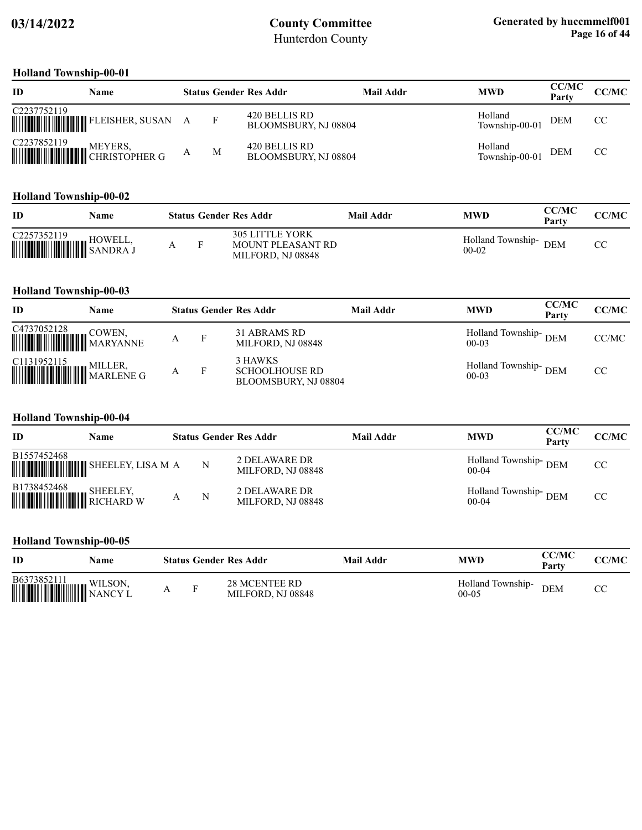#### **Holland Township-00-01**

| ID          | Name                                                                                                                                                                             |   | <b>Status Gender Res Addr</b>         | Mail Addr | <b>MWD</b>                | <b>CC/MC</b><br>Party | <b>CC/MC</b> |
|-------------|----------------------------------------------------------------------------------------------------------------------------------------------------------------------------------|---|---------------------------------------|-----------|---------------------------|-----------------------|--------------|
| C2237752119 |                                                                                                                                                                                  |   | 420 BELLIS RD<br>BLOOMSBURY, NJ 08804 |           | Holland<br>Township-00-01 | <b>DEM</b>            | CC           |
|             | $\begin{tabular}{ c c c } \hline C2237852119 & MEYERS, \\ \hline \hline \end{tabular} \begin{tabular}{ c c c c } \hline NEYERS, \\ \hline CHRISTOPHER G \\ \hline \end{tabular}$ | M | 420 BELLIS RD<br>BLOOMSBURY, NJ 08804 |           | Holland<br>Township-00-01 | <b>DEM</b>            | CC           |

#### **Holland Township-00-02**

| ID                                   | Name    |  | <b>Status Gender Res Addr</b>                                    | Mail Addr | <b>MWD</b>                   | <b>CC/MC</b><br>Party | <b>CC/MC</b> |
|--------------------------------------|---------|--|------------------------------------------------------------------|-----------|------------------------------|-----------------------|--------------|
| C2257352119<br><b>WELL, SANDRA J</b> | HOWELL, |  | <b>305 LITTLE YORK</b><br>MOUNT PLEASANT RD<br>MILFORD, NJ 08848 |           | Holland Township-<br>$00-02$ | <b>DEM</b>            |              |

### **Holland Township-00-03**

| ID                                                                                                                                                                                                                                    | Name |   |   | <b>Status Gender Res Addr</b>                            | <b>Mail Addr</b> | <b>MWD</b>                      | <b>CC/MC</b><br>Party | <b>CC/MC</b> |
|---------------------------------------------------------------------------------------------------------------------------------------------------------------------------------------------------------------------------------------|------|---|---|----------------------------------------------------------|------------------|---------------------------------|-----------------------|--------------|
| $\begin{tabular}{ c c c } \hline C4737052128 & \text{COWEN}, \\ \hline \hline \end{tabular} \begin{tabular}{ c c c c c } \hline \multicolumn{3}{ c }{\text{COWEN}}, \\ \multicolumn{3}{ c }{\text{MARYANNE}} \\ \hline \end{tabular}$ |      | А | F | 31 ABRAMS RD<br>MILFORD, NJ 08848                        |                  | Holland Township-DEM<br>$00-03$ |                       | CC/MC        |
|                                                                                                                                                                                                                                       |      |   |   | 3 HAWKS<br><b>SCHOOLHOUSE RD</b><br>BLOOMSBURY, NJ 08804 |                  | Holland Township-DEM<br>$00-03$ |                       | CC           |

### **Holland Township-00-04**

| ID                                                                                                                                                 | Name |   | <b>Status Gender Res Addr</b>      | <b>Mail Addr</b> | <b>MWD</b>                      | <b>CC/MC</b><br>Party | CC/MC |
|----------------------------------------------------------------------------------------------------------------------------------------------------|------|---|------------------------------------|------------------|---------------------------------|-----------------------|-------|
| B1557452468                                                                                                                                        |      |   | 2 DELAWARE DR<br>MILFORD, NJ 08848 |                  | Holland Township-DEM<br>$00-04$ |                       | CC    |
| $\begin{tabular}{ c c c } \hline \textbf{B}1738452468 & \textbf{SHEELEY,} \\ \hline \textbf{WWWWWWW} & \textbf{RICHARD W} \\ \hline \end{tabular}$ |      | N | 2 DELAWARE DR<br>MILFORD, NJ 08848 |                  | Holland Township-DEM<br>$00-04$ |                       | CC    |

#### **Holland Township-00-05**

| ID                     | Name    |                | <b>Status Gender Res Addr</b>             | Mail Addr | <b>MWD</b>                     | <b>CC/MC</b><br>Party | <b>CC/MC</b> |
|------------------------|---------|----------------|-------------------------------------------|-----------|--------------------------------|-----------------------|--------------|
| B6373852111<br>WILSON, | WILSON, | $\blacksquare$ | <b>28 MCENTEE RD</b><br>MILFORD, NJ 08848 |           | Holland Township-<br>$00 - 05$ | <b>DEM</b>            | rη           |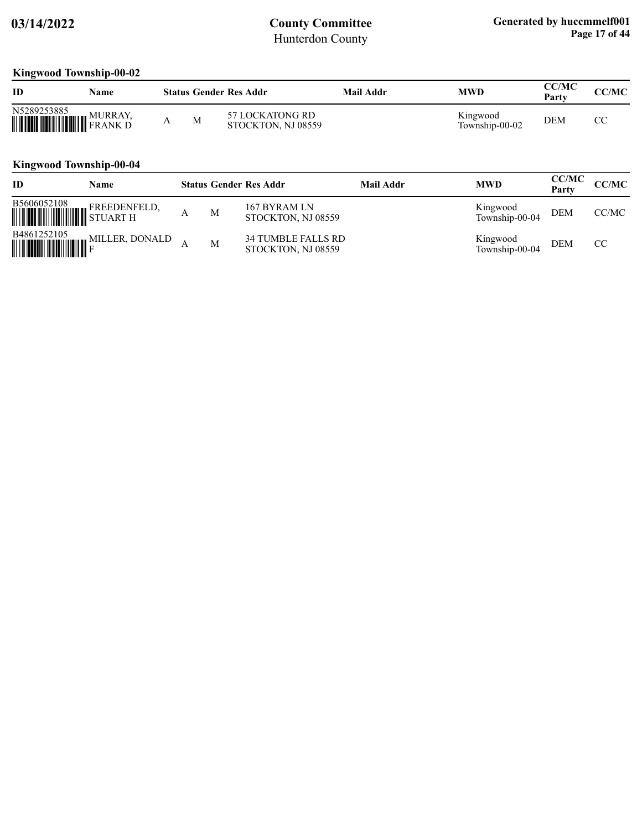### **Kingwood Township-00-02**

| ID                                                   | Name |   | <b>Status Gender Res Addr</b>          | Mail Addr | MWD                        | CC/MC<br>Party | CC/MC |
|------------------------------------------------------|------|---|----------------------------------------|-----------|----------------------------|----------------|-------|
| <b>N5289253885</b><br><b>MURRAY, MURRAY, PRANK D</b> |      | M | 57 LOCK ATONG RD<br>STOCKTON, NJ 08559 |           | Kingwood<br>Township-00-02 | <b>DEM</b>     | СC    |

### **Kingwood Township-00-04**

| ID                                                                                                                                                             | Name                         |   | <b>Status Gender Res Addr</b>                   | Mail Addr | <b>MWD</b>                 | <b>CC/MC</b><br>Party | <b>CC/MC</b>  |
|----------------------------------------------------------------------------------------------------------------------------------------------------------------|------------------------------|---|-------------------------------------------------|-----------|----------------------------|-----------------------|---------------|
| ${\small \begin{tabular}{ c c c } \hline \textbf{B5606052108} & \textbf{FREEDENFELD,} \\ \hline \textbf{WWWWWWW} & \textbf{STUART H} \\ \hline \end{tabular}}$ |                              | M | 167 BYRAM LN<br>STOCKTON, NJ 08559              |           | Kingwood<br>Township-00-04 | <b>DEM</b>            | CC/MC         |
|                                                                                                                                                                | $B4861252105$ MILLER, DONALD | M | <b>34 TUMBLE FALLS RD</b><br>STOCKTON, NJ 08559 |           | Kingwood<br>Township-00-04 | <b>DEM</b>            | <sub>CC</sub> |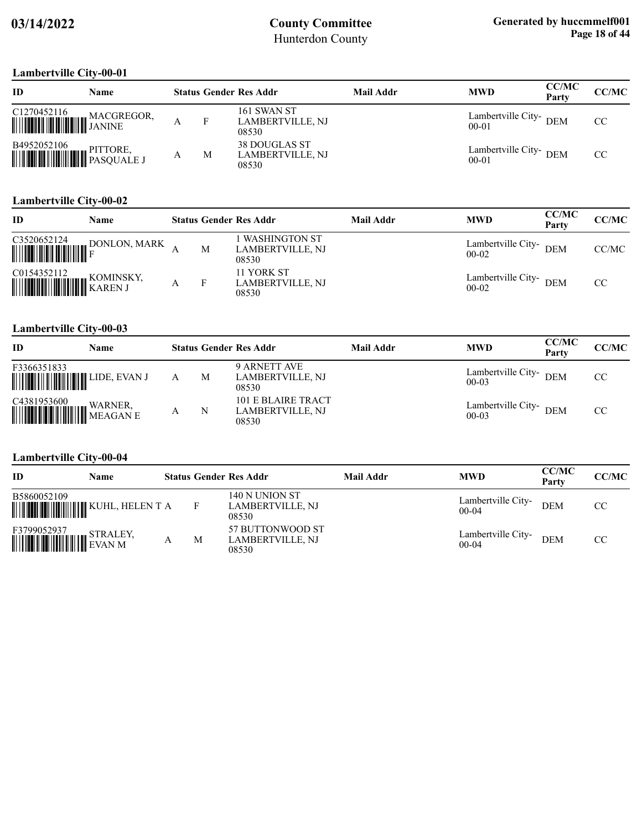### **Lambertville City-00-01**

| ID                                                                                                                                                                                                                                               | <b>Name</b> |   | <b>Status Gender Res Addr</b>                     | Mail Addr | <b>MWD</b>                          | <b>CC/MC</b><br>Party | CC/MC |
|--------------------------------------------------------------------------------------------------------------------------------------------------------------------------------------------------------------------------------------------------|-------------|---|---------------------------------------------------|-----------|-------------------------------------|-----------------------|-------|
|                                                                                                                                                                                                                                                  |             |   | 161 SWAN ST<br><b>LAMBERTVILLE, NJ</b><br>08530   |           | Lambertville City- DEM<br>$00 - 01$ |                       | CC    |
| $\begin{tabular}{ c c c } \hline \textbf{B4952052106}} & \textbf{PITTORE}, \\ \hline \hline \textbf{  }{\textbf{  }{\textbf{  }{\textbf{  }{\textbf{  }{\textbf{  }}{\textbf{  }{\textbf{  }}}}}} & \textbf{PASQUARE J}} \\\hline \end{tabular}$ |             | M | 38 DOUGLAS ST<br><b>LAMBERTVILLE, NJ</b><br>08530 |           | Lambertville City-DEM<br>$00 - 01$  |                       | CC    |

#### **Lambertville City-00-02**

| ID | Name         |   | <b>Status Gender Res Addr</b>                     | <b>Mail Addr</b> | <b>MWD</b>                       | <b>CC/MC</b><br>Party | CC/MC |
|----|--------------|---|---------------------------------------------------|------------------|----------------------------------|-----------------------|-------|
|    | DONLON, MARK | M | <b>WASHINGTON ST</b><br>LAMBERTVILLE, NJ<br>08530 |                  | Lambertville City-<br>$00-02$    | <b>DEM</b>            | CC/MC |
|    | KOMINSKY.    |   | 11 YORK ST<br>LAMBERTVILLE, NJ<br>08530           |                  | Lambertville City-DEM<br>$00-02$ |                       | CC.   |

#### **Lambertville City-00-03**

| ID                                                                                                                                                           | Name |   | <b>Status Gender Res Addr</b>                   | Mail Addr | <b>MWD</b>                          | <b>CC/MC</b><br>Party | <b>CC/MC</b> |
|--------------------------------------------------------------------------------------------------------------------------------------------------------------|------|---|-------------------------------------------------|-----------|-------------------------------------|-----------------------|--------------|
| F3366351833                                                                                                                                                  |      | M | 9 ARNETT AVE<br>LAMBERTVILLE, NJ<br>08530       |           | Lambertville City- DEM<br>$00 - 03$ |                       | CC           |
| $\begin{tabular}{ c c c } \hline C4381953600 & WARNER, \\ \hline \hline \end{tabular} \begin{tabular}{ c c c c } \hline WARNER, & E \\ \hline \end{tabular}$ |      | N | 101 E BLAIRE TRACT<br>LAMBERTVILLE, NJ<br>08530 |           | Lambertville City- DEM<br>$00 - 03$ |                       | CC           |

### **Lambertville City-00-04**

| ID              | Name                             |   | <b>Status Gender Res Addr</b>                 | Mail Addr | <b>MWD</b>                    | <b>CC/MC</b><br>Party | CC/MC |
|-----------------|----------------------------------|---|-----------------------------------------------|-----------|-------------------------------|-----------------------|-------|
| B5860052109     |                                  |   | 140 N UNION ST<br>LAMBERTVILLE, NJ<br>08530   |           | Lambertville City-<br>$00-04$ | <b>DEM</b>            | CC    |
| F3799052937<br> | STRALEY,<br><b>WEIGHT STRALE</b> | M | 57 BUTTONWOOD ST<br>LAMBERTVILLE, NJ<br>08530 |           | Lambertville City-<br>$00-04$ | <b>DEM</b>            | CC    |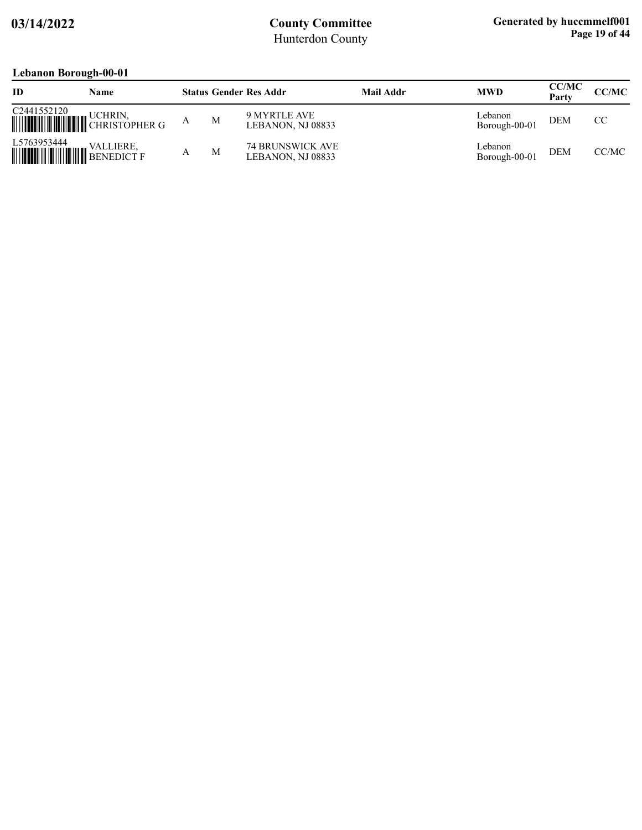### **Lebanon Borough-00-01**

|                                             | $\sqrt{2}$                               |   |                                              |           |                          |                       |       |
|---------------------------------------------|------------------------------------------|---|----------------------------------------------|-----------|--------------------------|-----------------------|-------|
| ID                                          | Name                                     |   | <b>Status Gender Res Addr</b>                | Mail Addr | <b>MWD</b>               | <b>CC/MC</b><br>Party | CC/MC |
| C2441552120                                 | UCHRIN.<br>WHITHER GENERAL CHRISTOPHER G | M | 9 MYRTLE AVE<br>LEBANON, NJ 08833            |           | Lebanon<br>Borough-00-01 | <b>DEM</b>            | CC.   |
| L5763953444<br><b>WEIGHT AND SENEDICT F</b> | <b>VALLIERE,</b>                         | M | <b>74 BRUNSWICK AVE</b><br>LEBANON, NJ 08833 |           | Lebanon<br>Borough-00-01 | <b>DEM</b>            | CC/MC |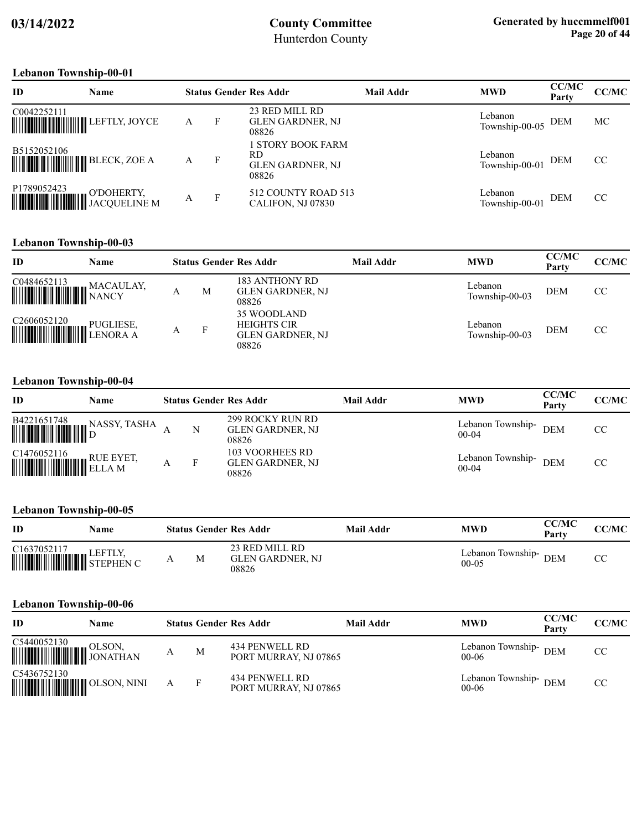#### **Lebanon Township-00-01**

| ID          | <b>Name</b>                                |   |              | <b>Status Gender Res Addr</b>                                | Mail Addr | <b>MWD</b>                    | <b>CC/MC</b><br>Party | CC/MC |
|-------------|--------------------------------------------|---|--------------|--------------------------------------------------------------|-----------|-------------------------------|-----------------------|-------|
| C0042252111 | <b>WEIGHTER THE SETTLY, JOYCE</b>          | А | F            | 23 RED MILL RD<br>GLEN GARDNER, NJ<br>08826                  |           | Lebanon<br>Township-00-05 DEM |                       | MC.   |
| B5152052106 |                                            | A | $\mathbf{F}$ | I STORY BOOK FARM<br>RD.<br><b>GLEN GARDNER, NJ</b><br>08826 |           | Lebanon<br>Township-00-01     | <b>DEM</b>            | CC    |
| P1789052423 | <b>WEITHERTY, SUPPOSE AND TACQUELINE M</b> | А | $\mathbf{F}$ | 512 COUNTY ROAD 513<br>CALIFON, NJ 07830                     |           | Lebanon<br>Township-00-01     | <b>DEM</b>            | CC    |

#### **Lebanon Township-00-03**

| ID                                                      | <b>Name</b> |   | <b>Status Gender Res Addr</b>                                  | <b>Mail Addr</b> | <b>MWD</b>                | <b>CC/MC</b><br>Party | CC/MC |
|---------------------------------------------------------|-------------|---|----------------------------------------------------------------|------------------|---------------------------|-----------------------|-------|
| C0484652113<br><b>WEIGHT WEIGHT WANTY</b>               | MACAULAY,   | М | 183 ANTHONY RD<br><b>GLEN GARDNER, NJ</b><br>08826             |                  | Lebanon<br>Township-00-03 | <b>DEM</b>            | CC    |
| C <sub>2606052120</sub><br><b>ELEVANDE DE PUGLIESE,</b> |             | F | 35 WOODLAND<br><b>HEIGHTS CIR</b><br>GLEN GARDNER, NJ<br>08826 |                  | Lebanon<br>Township-00-03 | <b>DEM</b>            | CC    |

#### **Lebanon Township-00-04**

| ID                                                                                                                                                                                                        | Name         |   | <b>Status Gender Res Addr</b>                        | Mail Addr | <b>MWD</b>                   | <b>CC/MC</b><br>Party | CC/MC |
|-----------------------------------------------------------------------------------------------------------------------------------------------------------------------------------------------------------|--------------|---|------------------------------------------------------|-----------|------------------------------|-----------------------|-------|
| $\begin{tabular}{ c c c c c } \hline \textbf{B4221651748} & $\textbf{N}$ \\ \hline \textbf{m$} & $\textbf{m$} & $\textbf{m}$ \\ \hline \textbf{m$} & $\textbf{m$} & $\textbf{m}$ \\ \hline \end{tabular}$ | NASSY, TASHA | N | 299 ROCKY RUN RD<br><b>GLEN GARDNER, NJ</b><br>08826 |           | Lebanon Township-<br>$00-04$ | <b>DEM</b>            | CC    |
| $\begin{tabular}{ c c c } \hline C1476052116 & \quad \quad \text{RUE EYET,} \\\hline \end{tabular}$                                                                                                       |              | F | 103 VOORHEES RD<br><b>GLEN GARDNER, NJ</b><br>08826  |           | Lebanon Township-<br>$00-04$ | <b>DEM</b>            | CC.   |

#### **Lebanon Township-00-05**

| ID                                                                                                                                                                                                                                                                                                                                                                                                                                     | Name |   | <b>Status Gender Res Addr</b>                      | Mail Addr | MWD                                  | <b>CC/MC</b><br>Party | <b>CC/MC</b> |
|----------------------------------------------------------------------------------------------------------------------------------------------------------------------------------------------------------------------------------------------------------------------------------------------------------------------------------------------------------------------------------------------------------------------------------------|------|---|----------------------------------------------------|-----------|--------------------------------------|-----------------------|--------------|
| $\begin{tabular}{ c c c c } \hline C1637052117 & LEFTLY, \\ \hline \hline \end{tabular} \begin{tabular}{ c c c c c } \hline \multicolumn{3}{ c }{} \multicolumn{3}{ c }{} \multicolumn{3}{ c }{}} \hline \multicolumn{3}{ c }{} \multicolumn{3}{ c }{} \multicolumn{3}{ c }{} \multicolumn{3}{ c }{}} \hline \multicolumn{3}{ c }{} \multicolumn{3}{ c }{} \multicolumn{3}{ c }{} \multicolumn{3}{ c }{} \multicolumn{3}{ c }{} \mult$ |      | M | 23 RED MILL RD<br><b>GLEN GARDNER, NJ</b><br>08826 |           | Lebanon Township- $DEM$<br>$00 - 05$ |                       |              |

#### **Lebanon Township-00-06**

| ID                                                                                                                                                                                                                                                                                                                                                                                                                                  | Name |   | <b>Status Gender Res Addr</b>           | Mail Addr | <b>MWD</b>                         | <b>CC/MC</b><br>Party | CC/MC |
|-------------------------------------------------------------------------------------------------------------------------------------------------------------------------------------------------------------------------------------------------------------------------------------------------------------------------------------------------------------------------------------------------------------------------------------|------|---|-----------------------------------------|-----------|------------------------------------|-----------------------|-------|
| $\begin{tabular}{ c c c } \hline C5440052130 & OLSON, \\ \hline \hline \end{tabular} \begin{tabular}{ c c c c } \hline D150N, \\ \hline \end{tabular} \begin{tabular}{ c c c c c } \hline \multicolumn{3}{ c }{\textbf{0.5}} \\ \hline \multicolumn{3}{ c }{\textbf{0.5}} \\ \hline \multicolumn{3}{ c }{\textbf{0.5}} \\ \hline \multicolumn{3}{ c }{\textbf{0.5}} \\ \hline \multicolumn{3}{ c }{\textbf{0.5}} \\ \hline \multic$ |      | M | 434 PENWELL RD<br>PORT MURRAY, NJ 07865 |           | Lebanon Township-DEM<br>$00 - 06$  |                       | CC    |
| C5436752130                                                                                                                                                                                                                                                                                                                                                                                                                         |      |   | 434 PENWELL RD<br>PORT MURRAY, NJ 07865 |           | Lebanon Township- DEM<br>$00 - 06$ |                       | CC    |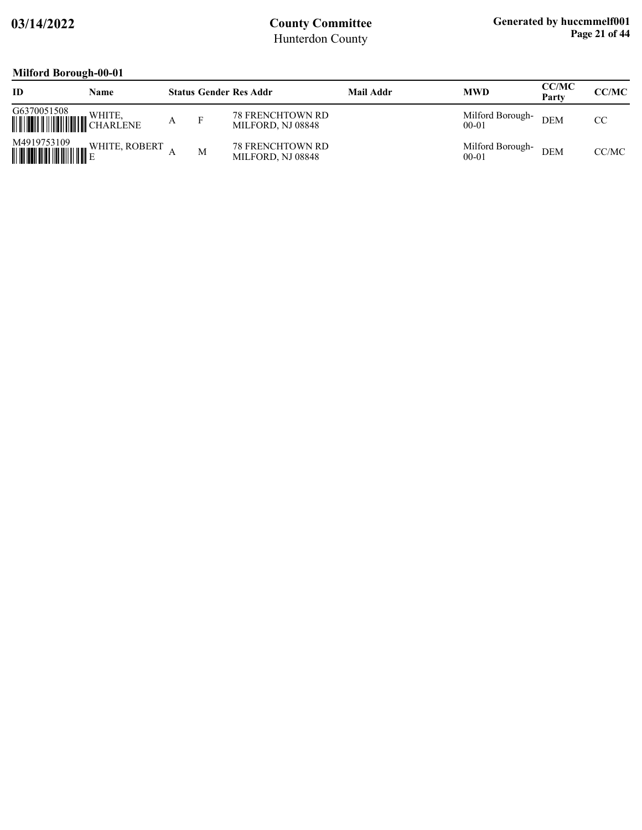# **Milford Borough-00-01**

| ID          | Name          |   | <b>Status Gender Res Addr</b>                | <b>Mail Addr</b> | <b>MWD</b>                    | <b>CC/MC</b><br>Party | <b>CC/MC</b> |
|-------------|---------------|---|----------------------------------------------|------------------|-------------------------------|-----------------------|--------------|
| G6370051508 | WHITE,        |   | <b>78 FRENCHTOWN RD</b><br>MILFORD, NJ 08848 |                  | Milford Borough-<br>$00 - 01$ | <b>DEM</b>            | CC.          |
| M4919753109 | WHITE, ROBERT | M | <b>78 FRENCHTOWN RD</b><br>MILFORD, NJ 08848 |                  | Milford Borough-<br>$00 - 01$ | <b>DEM</b>            | CC/MC        |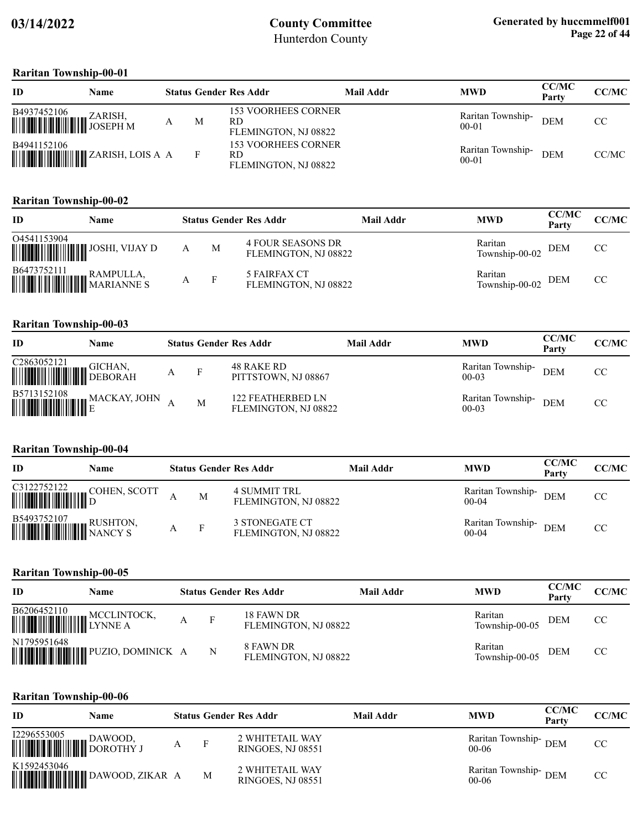#### **Raritan Township-00-01**

| ID                                                                                                                                  | Name |   | <b>Status Gender Res Addr</b>                                   | Mail Addr | <b>MWD</b>                     | <b>CC/MC</b><br>Party | CC/MC         |
|-------------------------------------------------------------------------------------------------------------------------------------|------|---|-----------------------------------------------------------------|-----------|--------------------------------|-----------------------|---------------|
| $\begin{tabular}{ c c c c } \hline \textbf{B4937452106} & \textbf{ZARISH} , \\ \hline \textbf{m} & \textbf{JOSEPH M} \end{tabular}$ |      | M | <b>153 VOORHEES CORNER</b><br><b>RD</b><br>FLEMINGTON, NJ 08822 |           | Raritan Township-<br>$00-01$   | <b>DEM</b>            | <sub>CC</sub> |
| B4941152106                                                                                                                         |      |   | 153 VOORHEES CORNER<br>RD<br>FLEMINGTON, NJ 08822               |           | Raritan Township-<br>$00 - 01$ | <b>DEM</b>            | CC/MC         |

### **Raritan Township-00-02**

| ID                                                                                                                                                | Name |   |   | <b>Status Gender Res Addr</b>                    | Mail Addr | <b>MWD</b>                    | CC/MC<br>Party | CC/MC |
|---------------------------------------------------------------------------------------------------------------------------------------------------|------|---|---|--------------------------------------------------|-----------|-------------------------------|----------------|-------|
| 04541153904                                                                                                                                       |      |   | M | <b>4 FOUR SEASONS DR</b><br>FLEMINGTON, NJ 08822 |           | Raritan<br>Township-00-02 DEM |                | CC    |
| $\begin{tabular}{ c c c c } \hline \textbf{B6473752111} & \textbf{RAMPULLA,} \\ \hline \textbf{mm} & \textbf{MARIANNE S} \\ \hline \end{tabular}$ |      | А | F | 5 FAIRFAX CT<br>FLEMINGTON, NJ 08822             |           | Raritan<br>Township-00-02     | <b>DEM</b>     | CC    |

#### **Raritan Township-00-03**

| ID                                                                                                                                                                   | Name                                                                                                                                     |     | <b>Status Gender Res Addr</b>             | <b>Mail Addr</b> | <b>MWD</b>                     | <b>CC/MC</b><br>Party | CC/MC |
|----------------------------------------------------------------------------------------------------------------------------------------------------------------------|------------------------------------------------------------------------------------------------------------------------------------------|-----|-------------------------------------------|------------------|--------------------------------|-----------------------|-------|
| $\begin{tabular}{ c c c } \hline C2863052121 & GICHAN, \\ \hline \hline \end{tabular} \begin{tabular}{ c c c c c } \hline P1CDIAM & GICHAN, \\ \hline \end{tabular}$ |                                                                                                                                          | - F | 48 RAKE RD<br>PITTSTOWN, NJ 08867         |                  | Raritan Township-<br>$00-03$   | <b>DEM</b>            | CC    |
|                                                                                                                                                                      | $\begin{tabular}{ c c c } \hline \textbf{B5713152108} & \textbf{MACKAY, JOHN} \\ \hline \textbf{m} & \textbf{E} \\ \hline \end{tabular}$ | M   | 122 FEATHERBED LN<br>FLEMINGTON, NJ 08822 |                  | Raritan Township-<br>$00 - 03$ | <b>DEM</b>            | CC    |

#### **Raritan Township-00-04**

| ID                                                                                                                                             | Name |   | <b>Status Gender Res Addr</b>          | Mail Addr | <b>MWD</b>                     | <b>CC/MC</b><br>Party | CC/MC |
|------------------------------------------------------------------------------------------------------------------------------------------------|------|---|----------------------------------------|-----------|--------------------------------|-----------------------|-------|
| C3122752122 COHEN, SCOTT                                                                                                                       |      | М | 4 SUMMIT TRL<br>FLEMINGTON, NJ 08822   |           | Raritan Township-<br>$00 - 04$ | <b>DEM</b>            | CC    |
| $\begin{tabular}{ c c c c } \hline \textbf{B5493752107} & \textbf{RUSHTON}, \\ \hline \textbf{MWW} & \textbf{NANCY S} \\ \hline \end{tabular}$ |      | F | 3 STONEGATE CT<br>FLEMINGTON, NJ 08822 |           | Raritan Township-<br>$00 - 04$ | <b>DEM</b>            | CC    |

#### **Raritan Township-00-05**

| ID          | Name                                 |              | <b>Status Gender Res Addr</b>      | Mail Addr | <b>MWD</b>                | <b>CC/MC</b><br>Party | <b>CC/MC</b> |
|-------------|--------------------------------------|--------------|------------------------------------|-----------|---------------------------|-----------------------|--------------|
| B6206452110 |                                      | $\mathbf{F}$ | 18 FAWN DR<br>FLEMINGTON, NJ 08822 |           | Raritan<br>Township-00-05 | <b>DEM</b>            | CC           |
| N1795951648 | <b>HERE IN THE PUZIO, DOMINICK A</b> | N            | 8 FAWN DR<br>FLEMINGTON, NJ 08822  |           | Raritan<br>Township-00-05 | <b>DEM</b>            | CC           |

#### **Raritan Township-00-06**

| <b>ID</b>                                                                              | Name |   |   | <b>Status Gender Res Addr</b>                      | Mail Addr | <b>MWD</b>                      | <b>CC/MC</b><br>Party | CC/MC |
|----------------------------------------------------------------------------------------|------|---|---|----------------------------------------------------|-----------|---------------------------------|-----------------------|-------|
| $\begin{tabular}{ c c c } \hline l2296553005 & DAWOOD, \\ \hline \hline \end{tabular}$ |      | А | F | 2 WHITETAIL WAY<br><b>RINGOES, NJ 08551</b>        |           | Raritan Township-DEM<br>$00-06$ |                       | CC.   |
| K1592453046                                                                            |      |   | M | <b>2 WHITETAIL WAY</b><br><b>RINGOES, NJ 08551</b> |           | Raritan Township-DEM<br>$00-06$ |                       | CC    |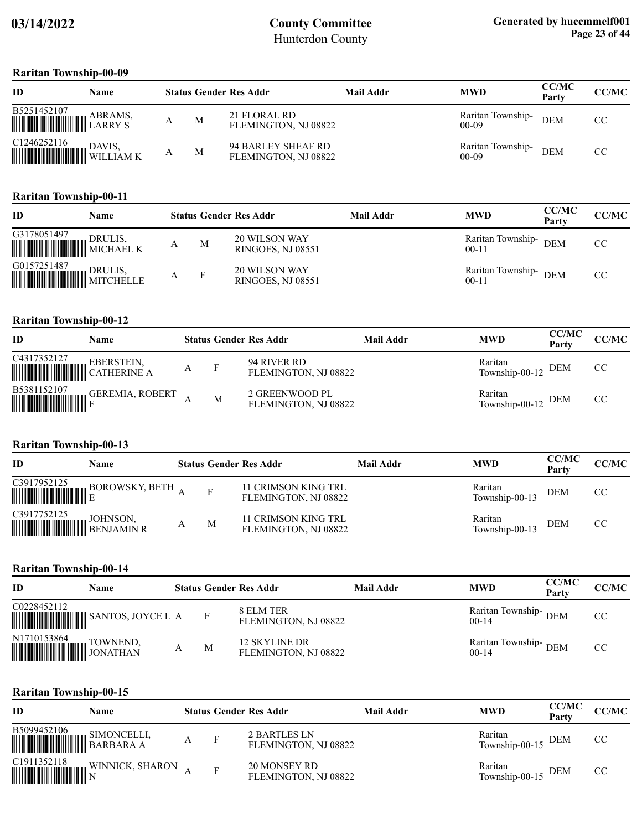#### **Raritan Township-00-09**

| ID                                                                                                                                                                             | <b>Name</b> |   | <b>Status Gender Res Addr</b>              | Mail Addr | <b>MWD</b>                   | <b>CC/MC</b><br>Party | <b>CC/MC</b> |
|--------------------------------------------------------------------------------------------------------------------------------------------------------------------------------|-------------|---|--------------------------------------------|-----------|------------------------------|-----------------------|--------------|
| $\begin{tabular}{ c c c c } \hline \textbf{B5251452107} & ABRAMS, \\ \hline \textbf{mm} & \textbf{LARRY S} \\ \hline \end{tabular}$                                            | ABRAMS,     | M | 21 FLORAL RD<br>FLEMINGTON, NJ 08822       |           | Raritan Township-<br>$00-09$ | <b>DEM</b>            | CC.          |
| $\begin{tabular}{ c c c c } \hline C1246252116 & DAVIS, \\ \hline \hline \end{tabular} \begin{tabular}{ c c c c c } \hline DAVIS, \\ \hline WILLIAM K \\ \hline \end{tabular}$ |             | M | 94 BARLEY SHEAF RD<br>FLEMINGTON, NJ 08822 |           | Raritan Township-<br>$00-09$ | <b>DEM</b>            | CC.          |

#### **Raritan Township-00-11**

| ID | Name |   |   | <b>Status Gender Res Addr</b>                    | <b>Mail Addr</b> | <b>MWD</b>                     | <b>CC/MC</b><br>Party | CC/MC |
|----|------|---|---|--------------------------------------------------|------------------|--------------------------------|-----------------------|-------|
|    |      |   | M | <b>20 WILSON WAY</b><br><b>RINGOES, NJ 08551</b> |                  | Raritan Township-<br>$00 - 11$ | <b>DEM</b>            | CC.   |
|    |      | А |   | <b>20 WILSON WAY</b><br><b>RINGOES, NJ 08551</b> |                  | Raritan Township-<br>$00 - 11$ | <b>DEM</b>            | CC    |

### **Raritan Township-00-12**

| ID                                                                                                                                                                                                                                                                                                                                                                                                                                      | Name                                                                                                               |   |     | <b>Status Gender Res Addr</b>          | Mail Addr | <b>MWD</b>                    | <b>CC/MC</b><br>Party | CC/MC         |
|-----------------------------------------------------------------------------------------------------------------------------------------------------------------------------------------------------------------------------------------------------------------------------------------------------------------------------------------------------------------------------------------------------------------------------------------|--------------------------------------------------------------------------------------------------------------------|---|-----|----------------------------------------|-----------|-------------------------------|-----------------------|---------------|
| $\begin{tabular}{ c c } \hline C4317352127 & \multicolumn{3}{ c }{EBERSTEN}, \\ \hline \hline \multicolumn{3}{ c }{\multicolumn{3}{ c }{\multicolumn{3}{ c }{\multicolumn{3}{ c }{\multicolumn{3}{ c }{\multicolumn{3}{ c }{\multicolumn{3}{ c }{\multicolumn{3}{ c }{\multicolumn{3}{ c }{\multicolumn{3}{ c }{\multicolumn{3}{ c }{\multicolumn{3}{ c }{\multicolumn{3}{ c }{\multicolumn{3}{ c }{\multicolumn{3}{ c }{\multicolumn{$ |                                                                                                                    | A | - F | 94 RIVER RD<br>FLEMINGTON, NJ 08822    |           | Raritan<br>Township-00-12 DEM |                       | CC.           |
|                                                                                                                                                                                                                                                                                                                                                                                                                                         | $\begin{tabular}{ c c c c } \hline \textbf{B5381152107} & \textbf{GEREMIA, ROBERT} \\ \hline \hline \end{tabular}$ |   | M   | 2 GREENWOOD PL<br>FLEMINGTON, NJ 08822 |           | Raritan<br>Township-00-12 DEM |                       | <sub>CC</sub> |

### **Raritan Township-00-13**

| ID                                                                                                                                                                                                                                                                                                                                                                                                                                | Name                                  |   | <b>Status Gender Res Addr</b>               | Mail Addr | <b>MWD</b>                | <b>CC/MC</b><br>Party | CC/MC |
|-----------------------------------------------------------------------------------------------------------------------------------------------------------------------------------------------------------------------------------------------------------------------------------------------------------------------------------------------------------------------------------------------------------------------------------|---------------------------------------|---|---------------------------------------------|-----------|---------------------------|-----------------------|-------|
|                                                                                                                                                                                                                                                                                                                                                                                                                                   | C3917952125 BOROWSKY, BETH $_{\rm A}$ |   | 11 CRIMSON KING TRL<br>FLEMINGTON, NJ 08822 |           | Raritan<br>Township-00-13 | <b>DEM</b>            | CC    |
| $\begin{tabular}{ c c c } \hline C3917752125 & \multicolumn{3}{ c }{JOHNSON}, \multicolumn{3}{ c }{HMSON}, \multicolumn{3}{ c }{HMSON}, \multicolumn{3}{ c }{HMSON}, \multicolumn{3}{ c }{HMSON}, \multicolumn{3}{ c }{HMSON}, \multicolumn{3}{ c }{HMSON}, \multicolumn{3}{ c }{HMSON}, \multicolumn{3}{ c }{HMSON}, \multicolumn{3}{ c }{HMSON}, \multicolumn{3}{ c }{HMSON}, \multicolumn{3}{ c }{HMSON}, \multicolumn{3}{ c $ |                                       | M | 11 CRIMSON KING TRL<br>FLEMINGTON, NJ 08822 |           | Raritan<br>Township-00-13 | <b>DEM</b>            | CC    |

#### **Raritan Township-00-14**

| ID                                                                                                                                                                    | Name                                |   | <b>Status Gender Res Addr</b>         | <b>Mail Addr</b> | <b>MWD</b>                      | <b>CC/MC</b><br>Party | CC/MC |
|-----------------------------------------------------------------------------------------------------------------------------------------------------------------------|-------------------------------------|---|---------------------------------------|------------------|---------------------------------|-----------------------|-------|
| C0228452112                                                                                                                                                           | <b>WEIGHT AND SANTOS, JOYCE L A</b> | F | 8 ELM TER<br>FLEMINGTON, NJ 08822     |                  | Raritan Township-DEM<br>$00-14$ |                       | CC.   |
| $\begin{tabular}{ c c c } \hline N1710153864 & TOWNEND, \\ \hline \hline \end{tabular} \begin{tabular}{ c c c c } \hline TOWNEND, & TOWNEND, \\ \hline \end{tabular}$ |                                     | M | 12 SKYLINE DR<br>FLEMINGTON, NJ 08822 |                  | Raritan Township-DEM<br>$00-14$ |                       | CC    |

#### **Raritan Township-00-15**

| <b>ID</b>                                                                                                                | Name            |   | <b>Status Gender Res Addr</b>        | Mail Addr | <b>MWD</b>                    | <b>CC/MC</b><br>Party | <b>CC/MC</b>  |
|--------------------------------------------------------------------------------------------------------------------------|-----------------|---|--------------------------------------|-----------|-------------------------------|-----------------------|---------------|
| $\begin{tabular}{ c c c c } \hline \textbf{B5099452106} & \textbf{SIMONCELLI,} \\ \hline \hline \end{tabular}$ BARBARA A |                 | A | 2 BARTLES LN<br>FLEMINGTON, NJ 08822 |           | Raritan<br>Township-00-15 DEM |                       | <sub>CC</sub> |
|                                                                                                                          | WINNICK, SHARON |   | 20 MONSEY RD<br>FLEMINGTON, NJ 08822 |           | Raritan<br>Township-00-15 DEM |                       | CC            |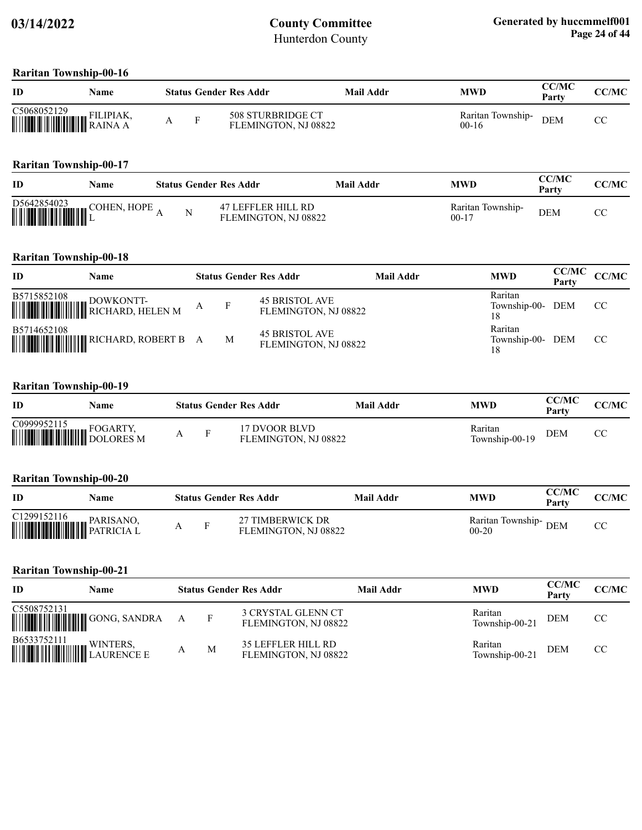#### **Raritan Township-00-16**

| ID                                                                                                                                                                            | Name |  | <b>Status Gender Res Addr</b>             | Mail Addr | MWD                          | CC/MC<br>Party | CC/MC |
|-------------------------------------------------------------------------------------------------------------------------------------------------------------------------------|------|--|-------------------------------------------|-----------|------------------------------|----------------|-------|
| $\begin{tabular}{ c c c c } \hline C5068052129 & FILIPIAK, \\ \hline \hline \end{tabular} \begin{tabular}{ c c c c c } \hline FILIPIAK, \\ RAINA & A \\ \hline \end{tabular}$ |      |  | 508 STURBRIDGE CT<br>FLEMINGTON, NJ 08822 |           | Raritan Township-<br>$00-16$ | <b>DEM</b>     |       |

### **Raritan Township-00-17**

| ID | Name        |  | <b>Status Gender Res Addr</b>              | Mail Addr | MWD                          | <b>CC/MC</b><br>Party | <b>CC/MC</b> |
|----|-------------|--|--------------------------------------------|-----------|------------------------------|-----------------------|--------------|
|    | COHEN, HOPE |  | 47 LEFFLER HILL RD<br>FLEMINGTON, NJ 08822 |           | Raritan Township-<br>$00-17$ | <b>DEM</b>            | $\sim$<br>Ü  |

#### **Raritan Township-00-18**

| ID          | Name |              | <b>Status Gender Res Addr</b>                 | Mail Addr | <b>MWD</b>                        | <b>CC/MC</b><br>Party | <b>CC/MC</b> |
|-------------|------|--------------|-----------------------------------------------|-----------|-----------------------------------|-----------------------|--------------|
|             |      | $\mathbf{F}$ | <b>45 BRISTOL AVE</b><br>FLEMINGTON, NJ 08822 |           | Raritan<br>Township-00- DEM<br>18 |                       | CC.          |
| B5714652108 |      | M            | 45 BRISTOL AVE<br>FLEMINGTON, NJ 08822        |           | Raritan<br>Township-00-<br>18     | <b>DEM</b>            | CC.          |

#### **Raritan Township-00-19**

| ID                                                              | Name |                | <b>Status Gender Res Addr</b>         | Mail Addr | <b>MWD</b>                | <b>CC/MC</b><br>Party | CC/MC |
|-----------------------------------------------------------------|------|----------------|---------------------------------------|-----------|---------------------------|-----------------------|-------|
| C0999952115<br><b>WEDES</b> SERVICE SERVER AND <b>FOGARTY</b> , |      | $\blacksquare$ | 17 DVOOR BLVD<br>FLEMINGTON, NJ 08822 |           | Raritan<br>Township-00-19 | <b>DEM</b>            | CС    |

#### **Raritan Township-00-20**

| ID                                         | Name      |  | <b>Status Gender Res Addr</b>            | Mail Addr | MWD                                   | <b>CC/MC</b><br>Party | CC/MC |
|--------------------------------------------|-----------|--|------------------------------------------|-----------|---------------------------------------|-----------------------|-------|
| C1299152116<br><b>WEIGHT THE PARISANUS</b> | PARISANO, |  | 27 TIMBERWICK DR<br>FLEMINGTON, NJ 08822 |           | Raritan Township-<br>DEM<br>$00 - 20$ |                       |       |

#### **Raritan Township-00-21**

| ID          | <b>Name</b> |   |   | <b>Status Gender Res Addr</b>              | Mail Addr | <b>MWD</b>                | <b>CC/MC</b><br>Party | CC/MC |
|-------------|-------------|---|---|--------------------------------------------|-----------|---------------------------|-----------------------|-------|
| C5508752131 |             | A | F | 3 CRYSTAL GLENN CT<br>FLEMINGTON, NJ 08822 |           | Raritan<br>Township-00-21 | <b>DEM</b>            | CC    |
|             |             |   | M | 35 LEFFLER HILL RD<br>FLEMINGTON, NJ 08822 |           | Raritan<br>Township-00-21 | <b>DEM</b>            | CC    |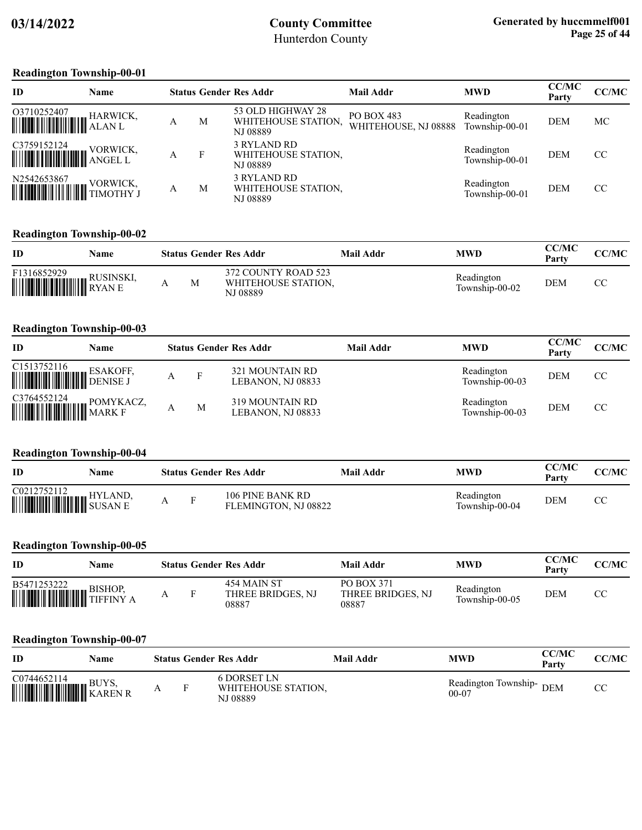#### **Readington Township-00-01**

| ID                                                                                                                                                                                                                                                                                                                                         | Name |   |   | <b>Status Gender Res Addr</b>                        | <b>Mail Addr</b>                   | <b>MWD</b>                   | <b>CC/MC</b><br>Party | <b>CC/MC</b> |
|--------------------------------------------------------------------------------------------------------------------------------------------------------------------------------------------------------------------------------------------------------------------------------------------------------------------------------------------|------|---|---|------------------------------------------------------|------------------------------------|------------------------------|-----------------------|--------------|
|                                                                                                                                                                                                                                                                                                                                            |      |   | М | 53 OLD HIGHWAY 28<br>WHITEHOUSE STATION.<br>NJ 08889 | PO BOX 483<br>WHITEHOUSE, NJ 08888 | Readington<br>Township-00-01 | <b>DEM</b>            | МC           |
|                                                                                                                                                                                                                                                                                                                                            |      | А |   | 3 RYLAND RD<br>WHITEHOUSE STATION.<br>NJ 08889       |                                    | Readington<br>Township-00-01 | <b>DEM</b>            | CC           |
| $\begin{tabular}{ c c c } \hline N2542653867 & VORWICK, \\ \hline \hline \end{tabular} \begin{tabular}{ c c c c } \hline VORWICK, \\ \hline \end{tabular} \end{tabular} \vspace{0.08cm} \begin{tabular}{ c c c c } \hline \multicolumn{3}{ c }{\textbf{VORWICK}} \\ \hline \multicolumn{3}{ c }{\textbf{VORWICK}} \\ \hline \end{tabular}$ |      | А | М | 3 RYLAND RD<br>WHITEHOUSE STATION.<br>NJ 08889       |                                    | Readington<br>Township-00-01 | <b>DEM</b>            | CC           |

### **Readington Township-00-02**

| ID                                      | Name      |   | <b>Status Gender Res Addr</b>                          | Mail Addr | <b>MWD</b>                   | <b>CC/MC</b><br>Party | <b>CC/MC</b> |
|-----------------------------------------|-----------|---|--------------------------------------------------------|-----------|------------------------------|-----------------------|--------------|
| F1316852929<br><b>WEIGHT HE RESINSE</b> | RUSINSKI. | M | 372 COUNTY ROAD 523<br>WHITEHOUSE STATION.<br>NJ 08889 |           | Readington<br>Township-00-02 | DEM                   |              |

#### **Readington Township-00-03**

| ID          | Name            |   | <b>Status Gender Res Addr</b>        | Mail Addr | <b>MWD</b>                   | <b>CC/MC</b><br>Party | CC/MC |
|-------------|-----------------|---|--------------------------------------|-----------|------------------------------|-----------------------|-------|
|             | <b>ESAKOFF.</b> | F | 321 MOUNTAIN RD<br>LEBANON, NJ 08833 |           | Readington<br>Township-00-03 | <b>DEM</b>            | CC    |
| C3764552124 | POMYKACZ,       | M | 319 MOUNTAIN RD<br>LEBANON, NJ 08833 |           | Readington<br>Township-00-03 | <b>DEM</b>            | CC    |

### **Readington Township-00-04**

| ID                                        | Name           |  | <b>Status Gender Res Addr</b>            | Mail Addr | MWD                          | <b>CC/MC</b><br>Party | <b>CC/MC</b> |
|-------------------------------------------|----------------|--|------------------------------------------|-----------|------------------------------|-----------------------|--------------|
| C0212752112<br><b>WITHING AND SUSAN E</b> | <b>HYLAND.</b> |  | 106 PINE BANK RD<br>FLEMINGTON, NJ 08822 |           | Readington<br>Township-00-04 | <b>DEM</b>            | U            |

#### **Readington Township-00-05**

| <b>ID</b>                                            | Name           |  | <b>Status Gender Res Addr</b>             | Mail Addr                                       | <b>MWD</b>                   | CC/MC<br>Party | <b>CC/MC</b> |
|------------------------------------------------------|----------------|--|-------------------------------------------|-------------------------------------------------|------------------------------|----------------|--------------|
| B5471253222<br><b>WEIGHT AND SIDE OF STATE STATE</b> | <b>BISHOP.</b> |  | 454 MAIN ST<br>THREE BRIDGES, NJ<br>08887 | <b>PO BOX 371</b><br>THREE BRIDGES, NJ<br>08887 | Readington<br>Township-00-05 | <b>DEM</b>     | СC           |

#### **Readington Township-00-07**

| ID                           | Name |  | <b>Status Gender Res Addr</b>                         | Mail Addr | <b>MWD</b>                             | CC/MC<br>Party | <b>CC/MC</b> |
|------------------------------|------|--|-------------------------------------------------------|-----------|----------------------------------------|----------------|--------------|
| C0744652114<br><b>EUYS</b> , |      |  | <b>6 DORSET LN</b><br>WHITEHOUSE STATION,<br>NJ 08889 |           | Readington Township-<br>DEM<br>$00-07$ |                | CΩ<br>UU     |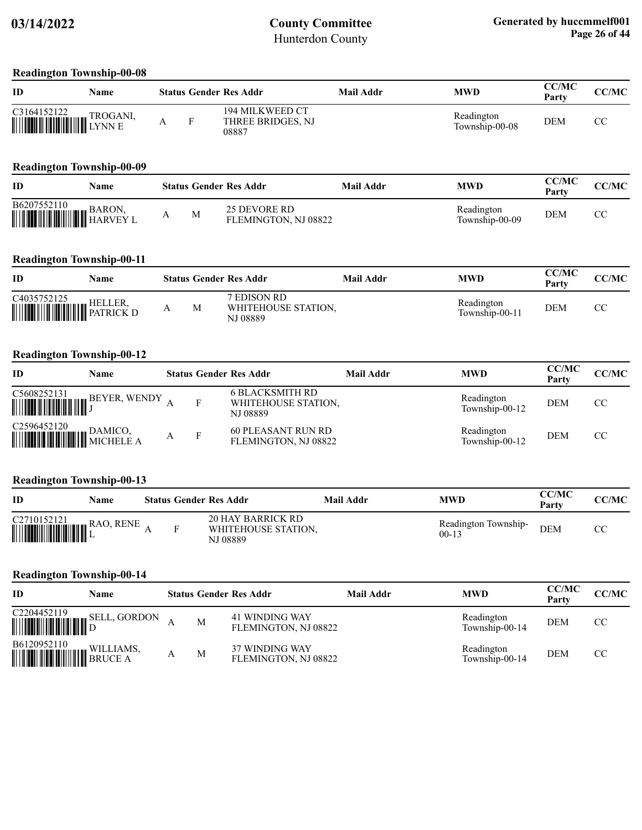#### **Readington Township-00-08**

| ID                                                                                      | Name     |  | <b>Status Gender Res Addr</b>                 | Mail Addr | <b>MWD</b>                   | CC/MC<br>Party | CC/MC |
|-----------------------------------------------------------------------------------------|----------|--|-----------------------------------------------|-----------|------------------------------|----------------|-------|
| $\begin{tabular}{ c c c c } \hline C3164152122 & TROGAN \\ \hline \hline \end{tabular}$ | TROGANI, |  | 194 MILKWEED CT<br>THREE BRIDGES, NJ<br>08887 |           | Readington<br>Township-00-08 | DEM            | U     |

### **Readington Township-00-09**

| ID                                                                                                                                         | Name |   | <b>Status Gender Res Addr</b>        | Mail Addr | MWD                          | <b>CC/MC</b><br>Party | CC/MC |
|--------------------------------------------------------------------------------------------------------------------------------------------|------|---|--------------------------------------|-----------|------------------------------|-----------------------|-------|
| $\begin{tabular}{ c c c } \hline \textbf{B6207552110} & \textbf{BARON,} \\ \hline \textbf{mm} & \textbf{HARVEY L} \\ \hline \end{tabular}$ |      | M | 25 DEVORE RD<br>FLEMINGTON, NJ 08822 |           | Readington<br>Township-00-09 | DEM                   |       |

### **Readington Township-00-11**

| ID                                                                                                                                                                                                                                                                                     | Name |   | <b>Status Gender Res Addr</b>                  | Mail Addr | MWD                          | CC/MC<br>Party | <b>CC/MC</b> |
|----------------------------------------------------------------------------------------------------------------------------------------------------------------------------------------------------------------------------------------------------------------------------------------|------|---|------------------------------------------------|-----------|------------------------------|----------------|--------------|
| $\begin{tabular}{ c c c } \hline C4035752125 & \text{HELLER}, \\ \hline \hline \end{tabular} \begin{tabular}{ c c c c c } \hline \multicolumn{3}{ c }{\text{HELLER}}, \\ \hline \multicolumn{3}{ c }{\text{W}}\\ \hline \multicolumn{3}{ c }{\text{PATRICK D}}\\ \hline \end{tabular}$ |      | М | 7 EDISON RD<br>WHITEHOUSE STATION,<br>NJ 08889 |           | Readington<br>Township-00-11 | DEM            | СC           |

#### **Readington Township-00-12**

| ID                                                                                                                    | Name |  | <b>Status Gender Res Addr</b>                      | Mail Addr | <b>MWD</b>                   | <b>CC/MC</b><br>Party | CC/MC         |
|-----------------------------------------------------------------------------------------------------------------------|------|--|----------------------------------------------------|-----------|------------------------------|-----------------------|---------------|
|                                                                                                                       |      |  | 6 BLACKSMITH RD<br>WHITEHOUSE STATION,<br>NJ 08889 |           | Readington<br>Township-00-12 | <b>DEM</b>            | <sub>CC</sub> |
| $\begin{tabular}{ c c c } \hline C2596452120 & DAMICO, \\ \hline \hline \end{tabular} {\small\bf{DAMICO,} MICHELE A}$ |      |  | <b>60 PLEASANT RUN RD</b><br>FLEMINGTON, NJ 08822  |           | Readington<br>Township-00-12 | <b>DEM</b>            | CC            |

#### **Readington Township-00-13**

| <b>ID</b> | Name |  | <b>Status Gender Res Addr</b>                        | Mail Addr | <b>MWD</b>                        | <b>CC/MC</b><br>Party | CC/MC |
|-----------|------|--|------------------------------------------------------|-----------|-----------------------------------|-----------------------|-------|
|           |      |  | 20 HAY BARRICK RD<br>WHITEHOUSE STATION.<br>NJ 08889 |           | Readington Township-<br>$00 - 13$ | <b>DEM</b>            | UΩ    |

#### **Readington Township-00-14**

| <b>ID</b>                                 | Name                |   | <b>Status Gender Res Addr</b>          | Mail Addr | <b>MWD</b>                   | <b>CC/MC</b><br>Party | <b>CC/MC</b> |
|-------------------------------------------|---------------------|---|----------------------------------------|-----------|------------------------------|-----------------------|--------------|
|                                           | <b>SELL, GORDON</b> | M | 41 WINDING WAY<br>FLEMINGTON, NJ 08822 |           | Readington<br>Township-00-14 | <b>DEM</b>            | CC           |
| B6120952110<br><b>WILLIAMS</b><br>BRUCE A | WILLIAMS,           | M | 37 WINDING WAY<br>FLEMINGTON, NJ 08822 |           | Readington<br>Township-00-14 | <b>DEM</b>            | CC           |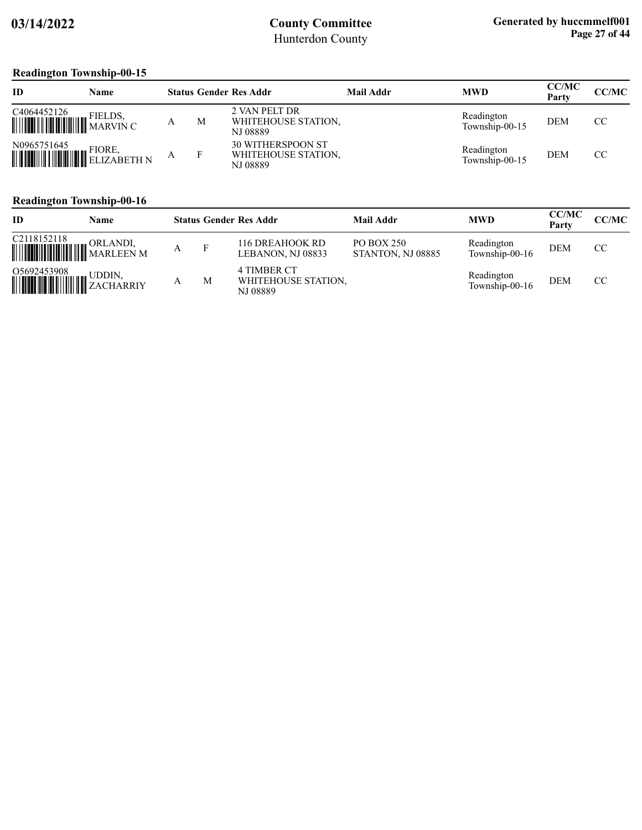### **Readington Township-00-15**

| ID                                               | Name   |   |   | <b>Status Gender Res Addr</b>                               | Mail Addr | <b>MWD</b>                   | <b>CC/MC</b><br>Party | CC/MC |
|--------------------------------------------------|--------|---|---|-------------------------------------------------------------|-----------|------------------------------|-----------------------|-------|
|                                                  |        |   | M | 2 VAN PELT DR<br>WHITEHOUSE STATION,<br><b>NJ 08889</b>     |           | Readington<br>Township-00-15 | <b>DEM</b>            | CC.   |
| N0965751645<br><b>WELLER HELIZABETH NEWSFILM</b> | FIORE, | A |   | <b>30 WITHERSPOON ST</b><br>WHITEHOUSE STATION,<br>NJ 08889 |           | Readington<br>Township-00-15 | <b>DEM</b>            | CC.   |

### **Readington Township-00-16**

| ID                                            | Name     | <b>Status Gender Res Addr</b> |   |                                                | <b>Mail Addr</b>                | <b>MWD</b>                   | <b>CC/MC</b><br>Party | <b>CC/MC</b> |
|-----------------------------------------------|----------|-------------------------------|---|------------------------------------------------|---------------------------------|------------------------------|-----------------------|--------------|
| C2118152118<br><b>WEIGHT AND SEARCH STATE</b> | ORLANDI, | A                             |   | 116 DREAHOOK RD<br>LEBANON, NJ 08833           | PO BOX 250<br>STANTON, NJ 08885 | Readington<br>Township-00-16 | <b>DEM</b>            | CC           |
| 05692453908 UDDIN, UDDIN, URBANIY             |          |                               | M | 4 TIMBER CT<br>WHITEHOUSE STATION,<br>NJ 08889 |                                 | Readington<br>Township-00-16 | <b>DEM</b>            | CC           |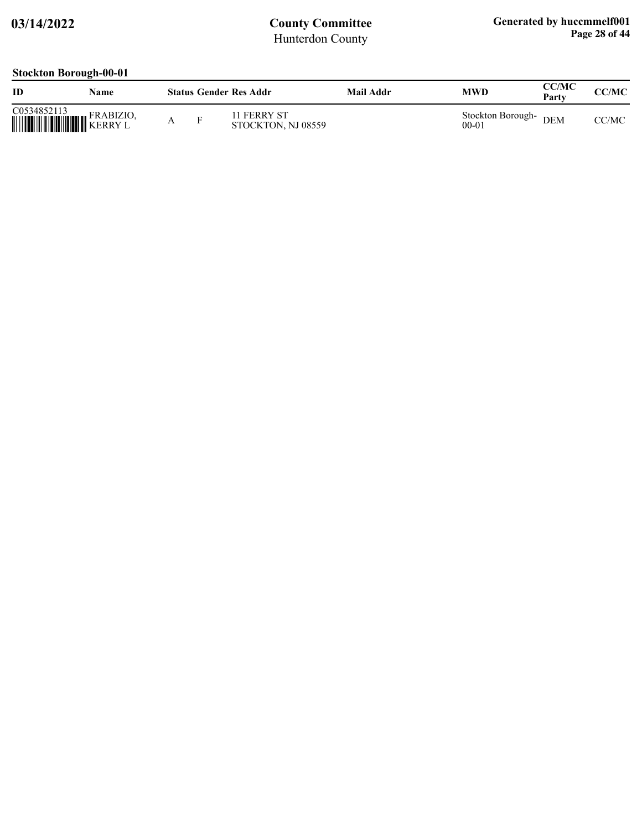### **Stockton Borough-00-01**

| ID                                                                                                                                                                        | Name      |   |   | <b>Status Gender Res Addr</b>     | Mail Addr | MWD                            | CC/MC<br>Party | CC/MC |
|---------------------------------------------------------------------------------------------------------------------------------------------------------------------------|-----------|---|---|-----------------------------------|-----------|--------------------------------|----------------|-------|
| $\begin{tabular}{ c c c c } \hline C0534852113 & FRABIZIO \\ \hline \hline \end{tabular} \begin{tabular}{ c c c c c } \hline FRABIZIO \\ KERRY L \\ \hline \end{tabular}$ | FRABIZIO, | A | F | 11 FERRY ST<br>STOCKTON, NJ 08559 |           | Stockton Borough-<br>$00 - 01$ | <b>DEM</b>     | CC/MC |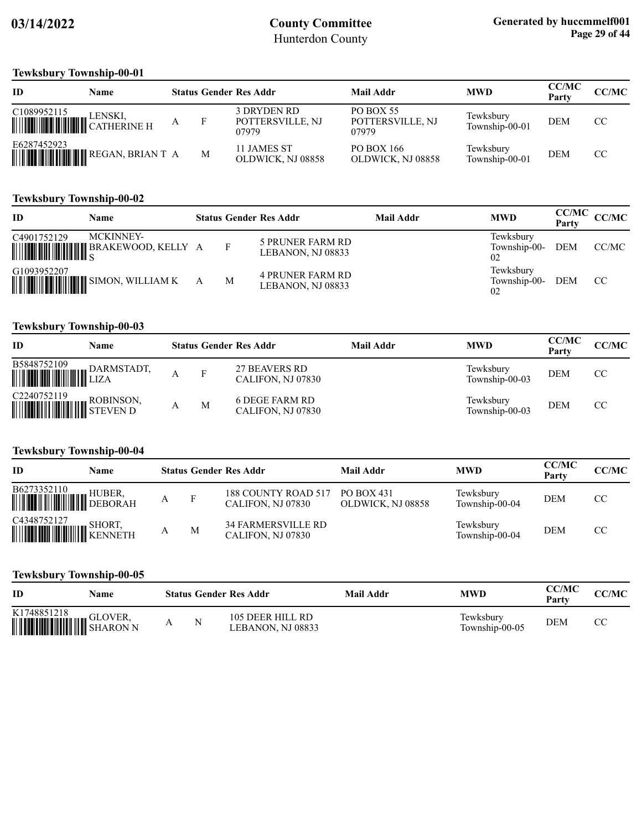#### **Tewksbury Township-00-01**

| ID                      | Name    |   | <b>Status Gender Res Addr</b>            | <b>Mail Addr</b>                              | <b>MWD</b>                  | <b>CC/MC</b><br>Party | <b>CC/MC</b> |
|-------------------------|---------|---|------------------------------------------|-----------------------------------------------|-----------------------------|-----------------------|--------------|
| C <sub>1089952115</sub> | LENSKI. |   | 3 DRYDEN RD<br>POTTERSVILLE, NJ<br>07979 | <b>PO BOX 55</b><br>POTTERSVILLE, NJ<br>07979 | Tewksbury<br>Township-00-01 | <b>DEM</b>            | CC           |
| E6287452923             |         | M | 11 JAMES ST<br>OLDWICK, NJ 08858         | PO BOX 166<br>OLDWICK, NJ 08858               | Tewksbury<br>Township-00-01 | <b>DEM</b>            | CC           |

### **Tewksbury Township-00-02**

| ID          | <b>Name</b>                                                |   |   | <b>Status Gender Res Addr</b>                | Mail Addr | <b>MWD</b>                      | <b>CC/MC</b><br>Party | CC/MC |
|-------------|------------------------------------------------------------|---|---|----------------------------------------------|-----------|---------------------------------|-----------------------|-------|
| C4901752129 | <b>MCKINNEY-</b><br><b>MUNICIPALITY BRAKEWOOD, KELLY A</b> |   | F | <b>5 PRUNER FARM RD</b><br>LEBANON, NJ 08833 |           | Tewksburv<br>Township-00-<br>02 | DEM                   | CC/MC |
| G1093952207 | <b>WEIGHT AND SIMON, WILLIAM K</b>                         | A | M | <b>4 PRUNER FARM RD</b><br>LEBANON, NJ 08833 |           | Tewksbury<br>Township-00-<br>02 | <b>DEM</b>            | CC    |

### **Tewksbury Township-00-03**

| ID          | Name |   | <b>Status Gender Res Addr</b>             | <b>Mail Addr</b> | <b>MWD</b>                  | <b>CC/MC</b><br>Party | CC/MC |
|-------------|------|---|-------------------------------------------|------------------|-----------------------------|-----------------------|-------|
| B5848752109 |      |   | <b>27 BEAVERS RD</b><br>CALIFON, NJ 07830 |                  | Tewksbury<br>Township-00-03 | <b>DEM</b>            | CC    |
| C2240752119 |      | M | 6 DEGE FARM RD<br>CALIFON, NJ 07830       |                  | Tewksbury<br>Township-00-03 | <b>DEM</b>            | CC    |

### **Tewksbury Township-00-04**

| ID                                                                                                                                                                                                                                                                                                                                                                                                                         | Name |   |   | <b>Status Gender Res Addr</b>                  | Mail Addr                       | <b>MWD</b>                  | <b>CC/MC</b><br>Party | <b>CC/MC</b>  |
|----------------------------------------------------------------------------------------------------------------------------------------------------------------------------------------------------------------------------------------------------------------------------------------------------------------------------------------------------------------------------------------------------------------------------|------|---|---|------------------------------------------------|---------------------------------|-----------------------------|-----------------------|---------------|
| $\begin{tabular}{ c c c } \hline \textbf{B6273352110} & \textbf{HUBER} , \\\hline \textbf{MHH} & \textbf{MHH} & \textbf{DEBORAH} \\\hline \end{tabular}$                                                                                                                                                                                                                                                                   |      |   | F | 188 COUNTY ROAD 517<br>CALIFON, NJ 07830       | PO BOX 431<br>OLDWICK, NJ 08858 | Tewksbury<br>Township-00-04 | <b>DEM</b>            | CC            |
| $\begin{tabular}{ c c c } \hline C4348752127 & SHORT, \\ \hline \hline \end{tabular} \begin{tabular}{ c c c c c } \hline \multicolumn{3}{ c }{HOMT} & SHORT, \\ \hline \multicolumn{3}{ c }{HOMT} & SHORT, \\ \hline \multicolumn{3}{ c }{HOMT} & SHORT. \\ \hline \multicolumn{3}{ c }{HOMT} & SHORT. \\ \hline \multicolumn{3}{ c }{HOMT} & SHORT. \\ \hline \multicolumn{3}{ c }{HOMT} & SHORT. \\ \hline \multicolumn$ |      | А | M | <b>34 FARMERSVILLE RD</b><br>CALIFON, NJ 07830 |                                 | Tewksbury<br>Township-00-04 | DEM                   | <sub>CC</sub> |

### **Tewksbury Township-00-05**

| ID                                              | Name    |   | <b>Status Gender Res Addr</b>         | Mail Addr | MWD                         | <b>CC/MC</b><br>Party | CC/MC |
|-------------------------------------------------|---------|---|---------------------------------------|-----------|-----------------------------|-----------------------|-------|
| K1748851218<br><b>WEIGHT AND SHARON NEWSTHE</b> | GLOVER. | N | 105 DEER HILL RD<br>LEBANON. NJ 08833 |           | Fewksburv<br>Township-00-05 | <b>DEM</b>            |       |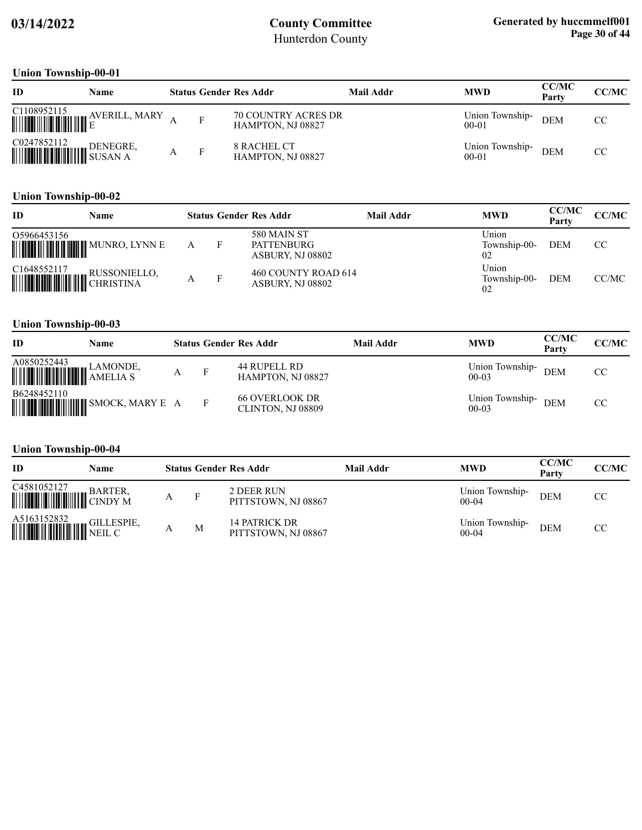### **Union Township-00-01**

| ID                                                                                                                                                                         | Name          |   | <b>Status Gender Res Addr</b>                   | Mail Addr | <b>MWD</b>                   | <b>CC/MC</b><br>Party | <b>CC/MC</b> |
|----------------------------------------------------------------------------------------------------------------------------------------------------------------------------|---------------|---|-------------------------------------------------|-----------|------------------------------|-----------------------|--------------|
| $\begin{tabular}{ c c c c c } \hline C1108952115 & A \\ \hline \hline \hline \end{tabular}$                                                                                | AVERILL, MARY |   | <b>70 COUNTRY ACRES DR</b><br>HAMPTON, NJ 08827 |           | Union Township-<br>$00 - 01$ | <b>DEM</b>            | CC           |
| $\begin{tabular}{ c c c c } \hline CO247852112 & DENEGRE \\ \hline \hline \end{tabular} \begin{tabular}{ c c c c c } \hline DENEGRE \\ \hline \end{tabular} \end{tabular}$ | DENEGRE,      | F | <b>8 RACHEL CT</b><br>HAMPTON, NJ 08827         |           | Union Township-<br>$00 - 01$ | <b>DEM</b>            | CC           |

### **Union Township-00-02**

| ID                    | Name         |   | <b>Status Gender Res Addr</b>                               | Mail Addr | <b>MWD</b>                  | <b>CC/MC</b><br>Party | CC/MC |
|-----------------------|--------------|---|-------------------------------------------------------------|-----------|-----------------------------|-----------------------|-------|
| 05966453156           |              | F | <b>580 MAIN ST</b><br><b>PATTENBURG</b><br>ASBURY, NJ 08802 |           | Union<br>Township-00-<br>02 | DEM                   | CC    |
| C1648552117 RUSSONIEL | RUSSONIELLO, | F | 460 COUNTY ROAD 614<br>ASBURY, NJ 08802                     |           | Union<br>Township-00-<br>02 | <b>DEM</b>            | CC/MC |

#### **Union Township-00-03**

| ID                                                                                                                                                            | Name                                   |  | <b>Status Gender Res Addr</b>              | Mail Addr | <b>MWD</b>                 | <b>CC/MC</b><br>Party | CC/MC |
|---------------------------------------------------------------------------------------------------------------------------------------------------------------|----------------------------------------|--|--------------------------------------------|-----------|----------------------------|-----------------------|-------|
| $\begin{tabular}{ c c c } \hline A0850252443 & LAMONDE, \\ \hline \hline \end{tabular} \begin{tabular}{ c c c c } \hline AMBULIA & S \\ \hline \end{tabular}$ |                                        |  | 44 RUPELL RD<br>HAMPTON, NJ 08827          |           | Union Township-<br>$00-03$ | <b>DEM</b>            | CC.   |
| B6248452110                                                                                                                                                   | <b>MUNICIPALITY OF SMOCK, MARY E A</b> |  | <b>66 OVERLOOK DR</b><br>CLINTON, NJ 08809 |           | Union Township-<br>$00-03$ | <b>DEM</b>            | CC    |

#### **Union Township-00-04**

| ID                                                                                                                                                                   | Name |     | <b>Status Gender Res Addr</b>        | <b>Mail Addr</b> | <b>MWD</b>                   | <b>CC/MC</b><br>Party | CC/MC |
|----------------------------------------------------------------------------------------------------------------------------------------------------------------------|------|-----|--------------------------------------|------------------|------------------------------|-----------------------|-------|
| $\begin{tabular}{ c c c } \hline C4581052127 & BARTER, \\ \hline \hline \end{tabular} \begin{tabular}{ c c c c c } \hline BARTER, CNDY \end{tabular}$                |      | - F | 2 DEER RUN<br>PITTSTOWN, NJ 08867    |                  | Union Township-<br>$00-04$   | <b>DEM</b>            | CC    |
| $\begin{tabular}{ c c c c } \hline A5163152832 & GILLESPIE, \\ \hline \hline \end{tabular} \begin{tabular}{ c c c c c } \hline & GILLESPIE, \\ \hline \end{tabular}$ |      | M   | 14 PATRICK DR<br>PITTSTOWN, NJ 08867 |                  | Union Township-<br>$00 - 04$ | <b>DEM</b>            | CC    |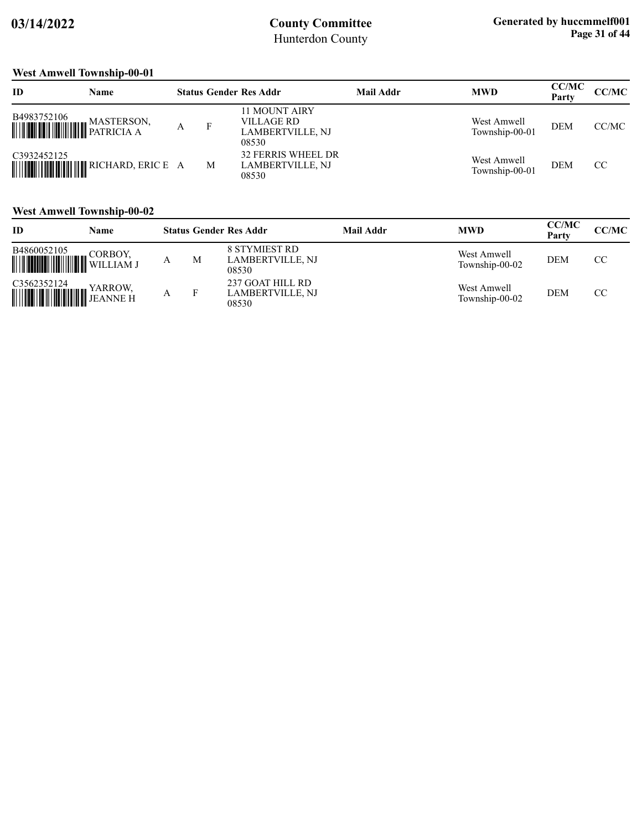### **West Amwell Township-00-01**

| ID                              | <b>Name</b>                              |   | <b>Status Gender Res Addr</b>                                          | Mail Addr | <b>MWD</b>                    | <b>CC/MC</b><br>Party | CC/MC |
|---------------------------------|------------------------------------------|---|------------------------------------------------------------------------|-----------|-------------------------------|-----------------------|-------|
| B4983752106<br><b>WASTERSOR</b> | MASTERSON,                               |   | <b>11 MOUNT AIRY</b><br>VILLAGE RD<br><b>LAMBERTVILLE, NJ</b><br>08530 |           | West Amwell<br>Township-00-01 | <b>DEM</b>            | CC/MC |
| C3932452125                     | <b>MUNICIPALITY IN RICHARD, ERIC E A</b> | M | <b>32 FERRIS WHEEL DR</b><br>LAMBERTVILLE, NJ<br>08530                 |           | West Amwell<br>Township-00-01 | <b>DEM</b>            | CC    |

### **West Amwell Township-00-02**

| ID                                                                                                                                                                                                                                                                                                                                                                                   | Name    |   | <b>Status Gender Res Addr</b>                            | Mail Addr | <b>MWD</b>                    | <b>CC/MC</b><br>Party | CC/MC |
|--------------------------------------------------------------------------------------------------------------------------------------------------------------------------------------------------------------------------------------------------------------------------------------------------------------------------------------------------------------------------------------|---------|---|----------------------------------------------------------|-----------|-------------------------------|-----------------------|-------|
| B4860052105<br>WILLIAM J                                                                                                                                                                                                                                                                                                                                                             | CORBOY, | M | <b>8 STYMIEST RD</b><br><b>LAMBERTVILLE, NJ</b><br>08530 |           | West Amwell<br>Township-00-02 | <b>DEM</b>            | CC    |
| $\begin{tabular}{ c c c } \hline C3562352124 & YARROW, \\ \hline \hline \end{tabular} \begin{tabular}{ c c c c } \hline P136111 & P13611 & P14811 \\ \hline \end{tabular} \begin{tabular}{ c c c c c } \hline \multicolumn{3}{ c }{H16111 & P14811 & P14811 \\ \hline \multicolumn{3}{ c }{H1611 & P14811 & P14811 \\ \hline \multicolumn{3}{ c }{H1611 & P14811 & P14811 \\ \hline$ |         |   | 237 GOAT HILL RD<br>LAMBERTVILLE, NJ<br>08530            |           | West Amwell<br>Township-00-02 | <b>DEM</b>            | CC.   |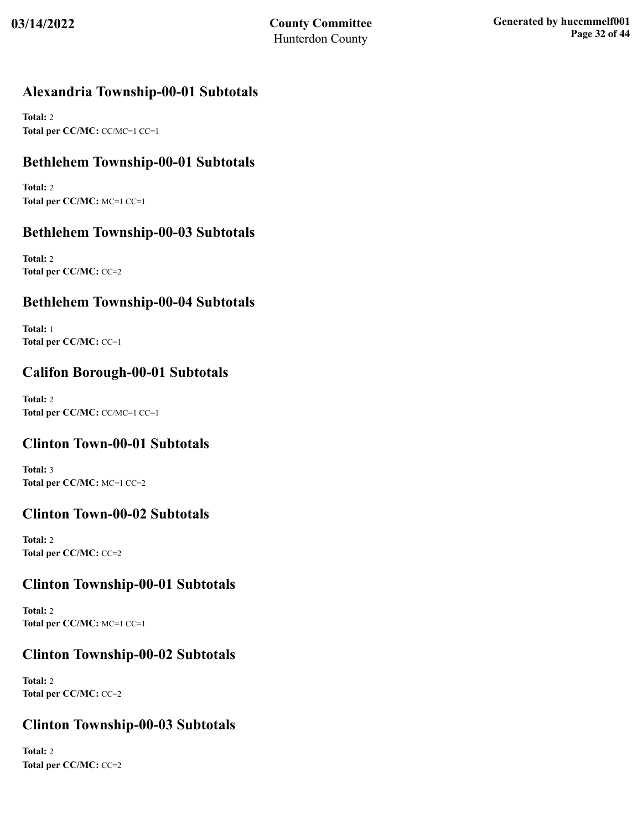## **Alexandria Township-00-01 Subtotals**

**Total:** 2 **Total per CC/MC:** CC/MC=1 CC=1

## **Bethlehem Township-00-01 Subtotals**

**Total:** 2 **Total per CC/MC:** MC=1 CC=1

## **Bethlehem Township-00-03 Subtotals**

**Total:** 2 **Total per CC/MC:** CC=2

## **Bethlehem Township-00-04 Subtotals**

**Total:** 1 **Total per CC/MC:** CC=1

## **Califon Borough-00-01 Subtotals**

**Total:** 2 **Total per CC/MC:** CC/MC=1 CC=1

## **Clinton Town-00-01 Subtotals**

**Total:** 3 **Total per CC/MC:** MC=1 CC=2

## **Clinton Town-00-02 Subtotals**

**Total:** 2 **Total per CC/MC:** CC=2

## **Clinton Township-00-01 Subtotals**

**Total:** 2 **Total per CC/MC:** MC=1 CC=1

## **Clinton Township-00-02 Subtotals**

**Total:** 2 **Total per CC/MC:** CC=2

## **Clinton Township-00-03 Subtotals**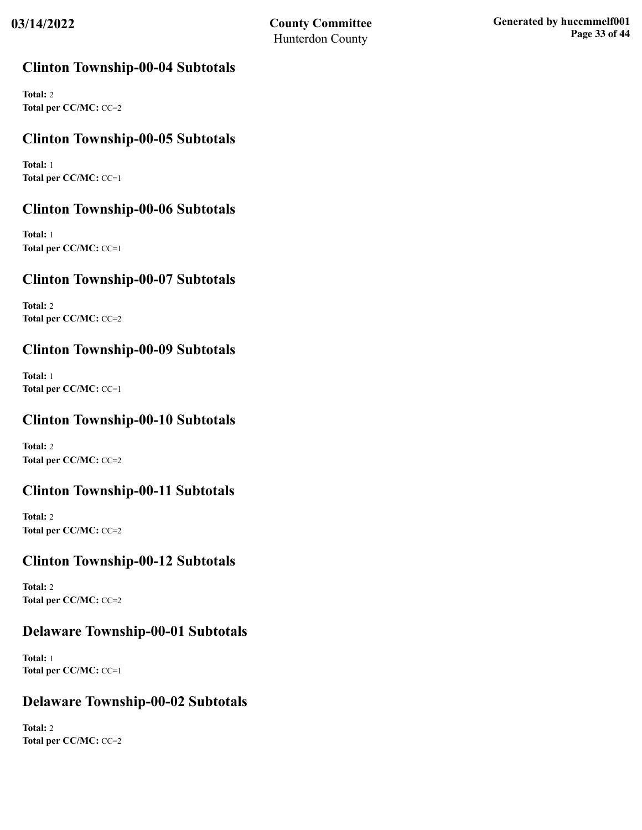## **Clinton Township-00-04 Subtotals**

**Total:** 2 **Total per CC/MC:** CC=2

## **Clinton Township-00-05 Subtotals**

**Total:** 1 **Total per CC/MC:** CC=1

## **Clinton Township-00-06 Subtotals**

**Total:** 1 **Total per CC/MC:** CC=1

## **Clinton Township-00-07 Subtotals**

**Total:** 2 **Total per CC/MC:** CC=2

## **Clinton Township-00-09 Subtotals**

**Total:** 1 **Total per CC/MC:** CC=1

## **Clinton Township-00-10 Subtotals**

**Total:** 2 **Total per CC/MC:** CC=2

## **Clinton Township-00-11 Subtotals**

**Total:** 2 **Total per CC/MC:** CC=2

## **Clinton Township-00-12 Subtotals**

**Total:** 2 **Total per CC/MC:** CC=2

## **Delaware Township-00-01 Subtotals**

**Total:** 1 **Total per CC/MC:** CC=1

## **Delaware Township-00-02 Subtotals**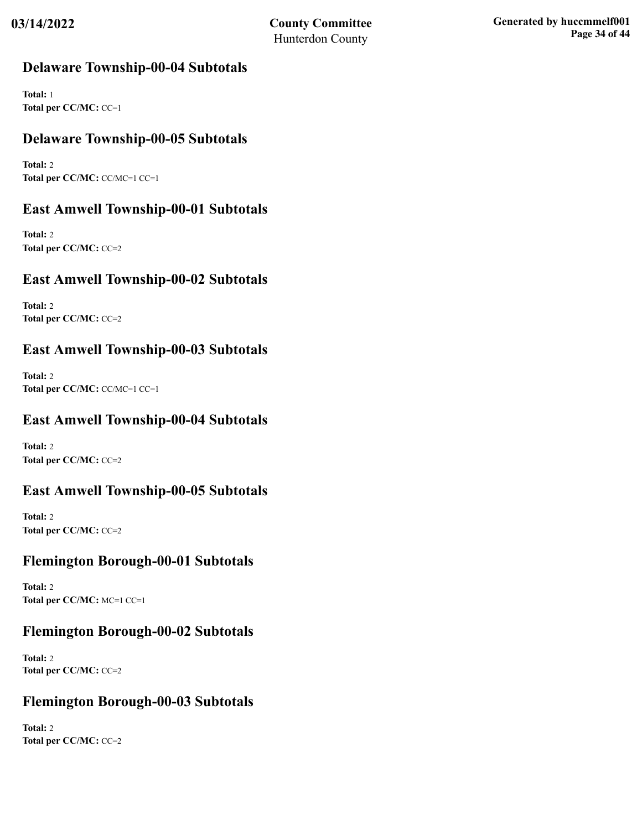## **Delaware Township-00-04 Subtotals**

**Total:** 1 **Total per CC/MC:** CC=1

## **Delaware Township-00-05 Subtotals**

**Total:** 2 **Total per CC/MC:** CC/MC=1 CC=1

## **East Amwell Township-00-01 Subtotals**

**Total:** 2 **Total per CC/MC:** CC=2

## **East Amwell Township-00-02 Subtotals**

**Total:** 2 **Total per CC/MC:** CC=2

## **East Amwell Township-00-03 Subtotals**

**Total:** 2 **Total per CC/MC:** CC/MC=1 CC=1

## **East Amwell Township-00-04 Subtotals**

**Total:** 2 **Total per CC/MC:** CC=2

## **East Amwell Township-00-05 Subtotals**

**Total:** 2 **Total per CC/MC:** CC=2

## **Flemington Borough-00-01 Subtotals**

**Total:** 2 **Total per CC/MC:** MC=1 CC=1

## **Flemington Borough-00-02 Subtotals**

**Total:** 2 **Total per CC/MC:** CC=2

## **Flemington Borough-00-03 Subtotals**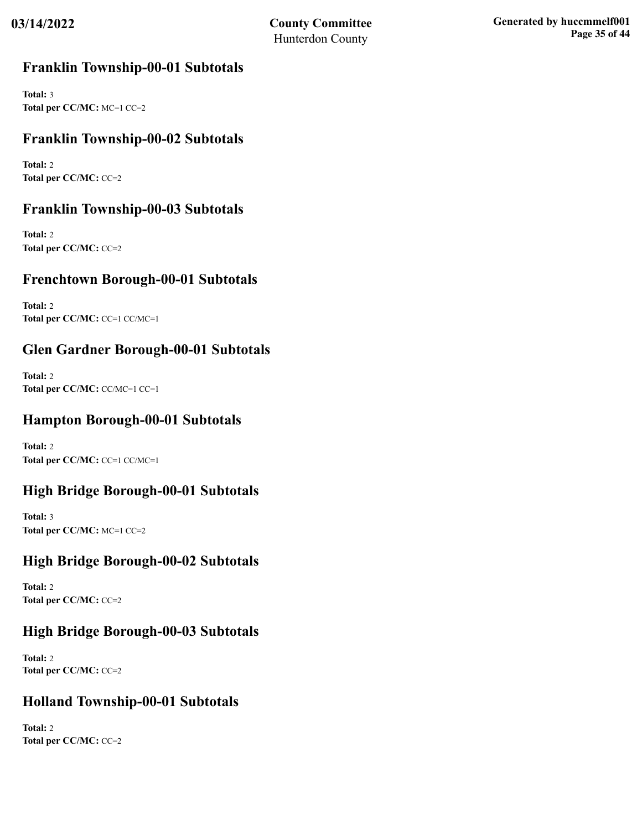## **Franklin Township-00-01 Subtotals**

**Total:** 3 **Total per CC/MC:** MC=1 CC=2

## **Franklin Township-00-02 Subtotals**

**Total:** 2 **Total per CC/MC:** CC=2

## **Franklin Township-00-03 Subtotals**

**Total:** 2 **Total per CC/MC:** CC=2

## **Frenchtown Borough-00-01 Subtotals**

**Total:** 2 **Total per CC/MC:** CC=1 CC/MC=1

## **Glen Gardner Borough-00-01 Subtotals**

**Total:** 2 **Total per CC/MC:** CC/MC=1 CC=1

## **Hampton Borough-00-01 Subtotals**

**Total:** 2 **Total per CC/MC:** CC=1 CC/MC=1

## **High Bridge Borough-00-01 Subtotals**

**Total:** 3 **Total per CC/MC:** MC=1 CC=2

## **High Bridge Borough-00-02 Subtotals**

**Total:** 2 **Total per CC/MC:** CC=2

## **High Bridge Borough-00-03 Subtotals**

**Total:** 2 **Total per CC/MC:** CC=2

## **Holland Township-00-01 Subtotals**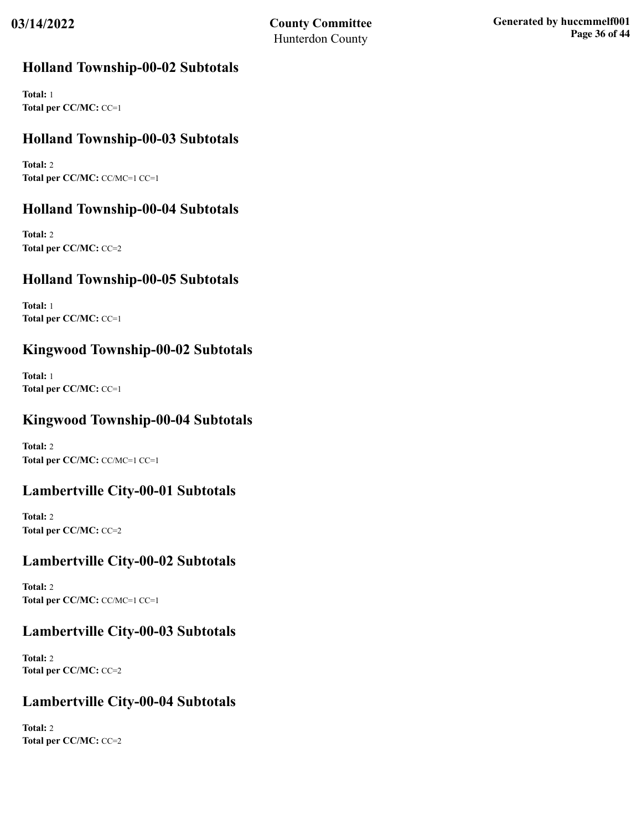## **Holland Township-00-02 Subtotals**

**Total:** 1 **Total per CC/MC:** CC=1

## **Holland Township-00-03 Subtotals**

**Total:** 2 **Total per CC/MC:** CC/MC=1 CC=1

## **Holland Township-00-04 Subtotals**

**Total:** 2 **Total per CC/MC:** CC=2

## **Holland Township-00-05 Subtotals**

**Total:** 1 **Total per CC/MC:** CC=1

## **Kingwood Township-00-02 Subtotals**

**Total:** 1 **Total per CC/MC:** CC=1

## **Kingwood Township-00-04 Subtotals**

**Total:** 2 **Total per CC/MC:** CC/MC=1 CC=1

## **Lambertville City-00-01 Subtotals**

**Total:** 2 **Total per CC/MC:** CC=2

## **Lambertville City-00-02 Subtotals**

**Total:** 2 **Total per CC/MC:** CC/MC=1 CC=1

## **Lambertville City-00-03 Subtotals**

**Total:** 2 **Total per CC/MC:** CC=2

## **Lambertville City-00-04 Subtotals**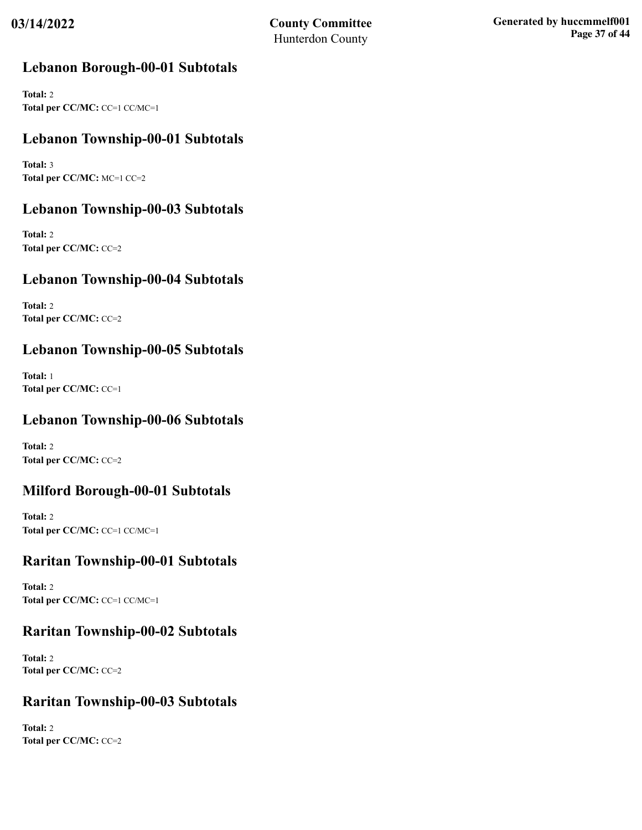## **Lebanon Borough-00-01 Subtotals**

**Total:** 2 **Total per CC/MC:** CC=1 CC/MC=1

## **Lebanon Township-00-01 Subtotals**

**Total:** 3 **Total per CC/MC:** MC=1 CC=2

## **Lebanon Township-00-03 Subtotals**

**Total:** 2 **Total per CC/MC:** CC=2

## **Lebanon Township-00-04 Subtotals**

**Total:** 2 **Total per CC/MC:** CC=2

## **Lebanon Township-00-05 Subtotals**

**Total:** 1 **Total per CC/MC:** CC=1

## **Lebanon Township-00-06 Subtotals**

**Total:** 2 **Total per CC/MC:** CC=2

## **Milford Borough-00-01 Subtotals**

**Total:** 2 **Total per CC/MC:** CC=1 CC/MC=1

## **Raritan Township-00-01 Subtotals**

**Total:** 2 **Total per CC/MC:** CC=1 CC/MC=1

## **Raritan Township-00-02 Subtotals**

**Total:** 2 **Total per CC/MC:** CC=2

## **Raritan Township-00-03 Subtotals**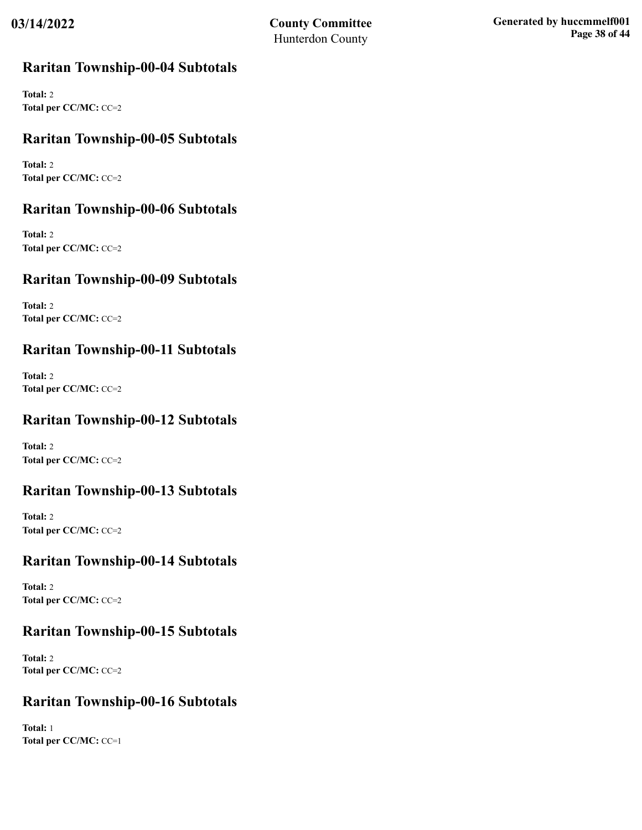## **Raritan Township-00-04 Subtotals**

**Total:** 2 **Total per CC/MC:** CC=2

## **Raritan Township-00-05 Subtotals**

**Total:** 2 **Total per CC/MC:** CC=2

## **Raritan Township-00-06 Subtotals**

**Total:** 2 **Total per CC/MC:** CC=2

## **Raritan Township-00-09 Subtotals**

**Total:** 2 **Total per CC/MC:** CC=2

## **Raritan Township-00-11 Subtotals**

**Total:** 2 **Total per CC/MC:** CC=2

## **Raritan Township-00-12 Subtotals**

**Total:** 2 **Total per CC/MC:** CC=2

## **Raritan Township-00-13 Subtotals**

**Total:** 2 **Total per CC/MC:** CC=2

## **Raritan Township-00-14 Subtotals**

**Total:** 2 **Total per CC/MC:** CC=2

## **Raritan Township-00-15 Subtotals**

**Total:** 2 **Total per CC/MC:** CC=2

## **Raritan Township-00-16 Subtotals**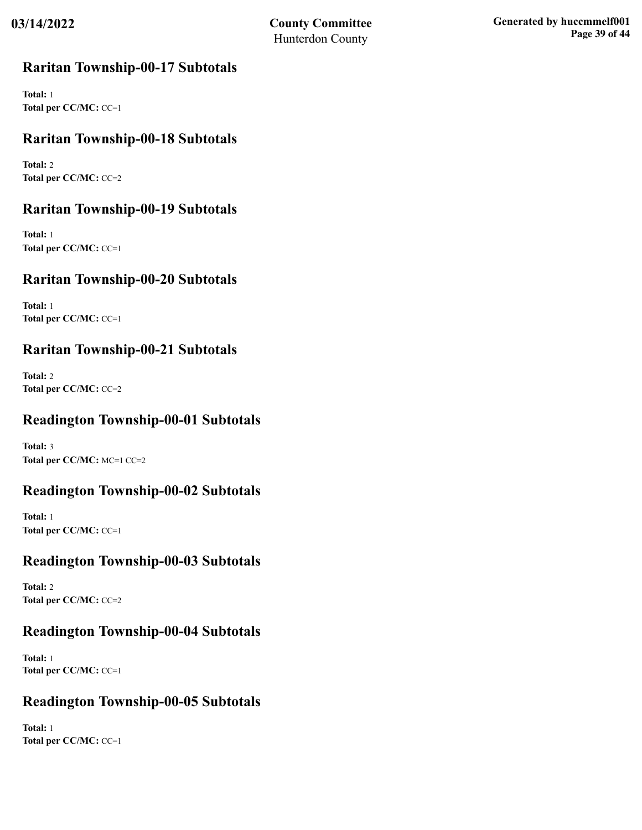## **Raritan Township-00-17 Subtotals**

**Total:** 1 **Total per CC/MC:** CC=1

## **Raritan Township-00-18 Subtotals**

**Total:** 2 **Total per CC/MC:** CC=2

## **Raritan Township-00-19 Subtotals**

**Total:** 1 **Total per CC/MC:** CC=1

## **Raritan Township-00-20 Subtotals**

**Total:** 1 **Total per CC/MC:** CC=1

## **Raritan Township-00-21 Subtotals**

**Total:** 2 **Total per CC/MC:** CC=2

## **Readington Township-00-01 Subtotals**

**Total:** 3 **Total per CC/MC:** MC=1 CC=2

## **Readington Township-00-02 Subtotals**

**Total:** 1 **Total per CC/MC:** CC=1

## **Readington Township-00-03 Subtotals**

**Total:** 2 **Total per CC/MC:** CC=2

## **Readington Township-00-04 Subtotals**

**Total:** 1 **Total per CC/MC:** CC=1

## **Readington Township-00-05 Subtotals**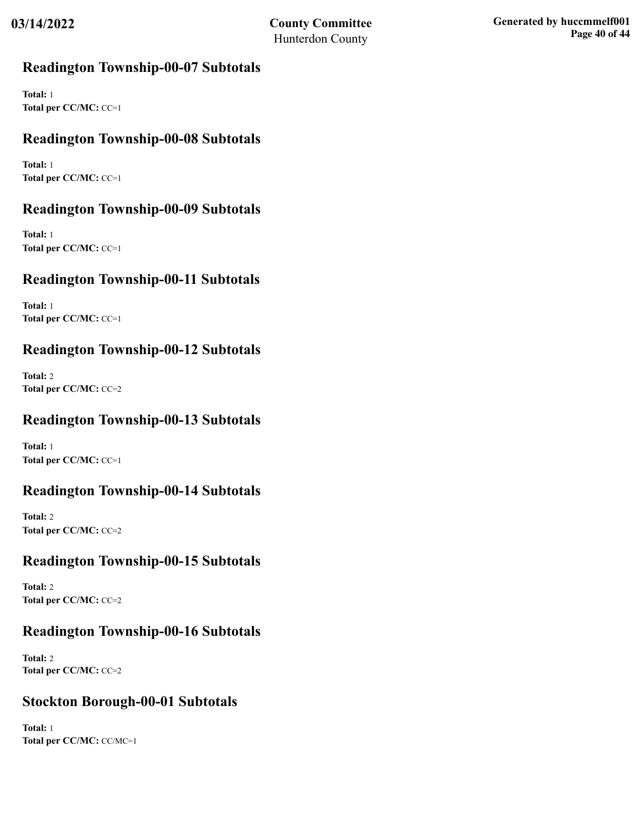## **Readington Township-00-07 Subtotals**

**Total:** 1 **Total per CC/MC:** CC=1

## **Readington Township-00-08 Subtotals**

**Total:** 1 **Total per CC/MC:** CC=1

## **Readington Township-00-09 Subtotals**

**Total:** 1 **Total per CC/MC:** CC=1

## **Readington Township-00-11 Subtotals**

**Total:** 1 **Total per CC/MC:** CC=1

## **Readington Township-00-12 Subtotals**

**Total:** 2 **Total per CC/MC:** CC=2

## **Readington Township-00-13 Subtotals**

**Total:** 1 **Total per CC/MC:** CC=1

## **Readington Township-00-14 Subtotals**

**Total:** 2 **Total per CC/MC:** CC=2

## **Readington Township-00-15 Subtotals**

**Total:** 2 **Total per CC/MC:** CC=2

## **Readington Township-00-16 Subtotals**

**Total:** 2 **Total per CC/MC:** CC=2

## **Stockton Borough-00-01 Subtotals**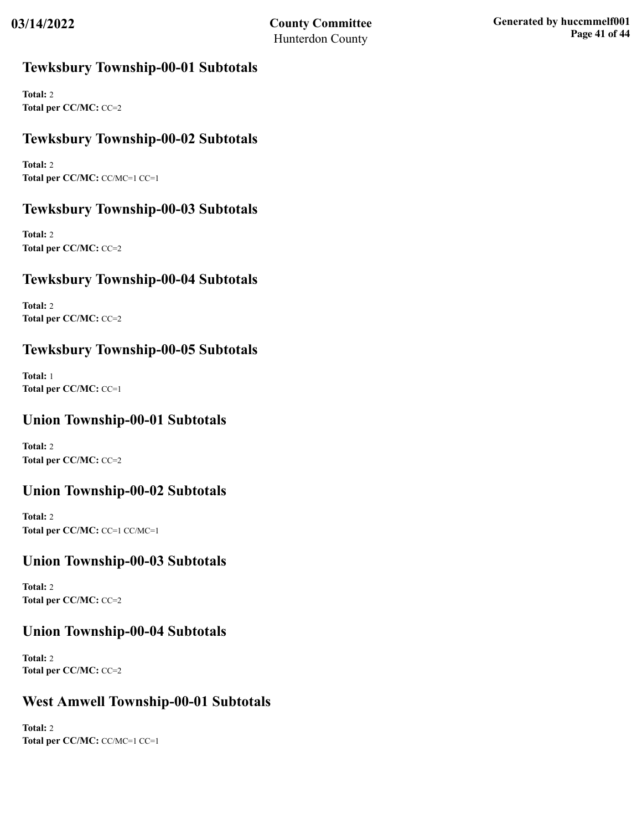## **Tewksbury Township-00-01 Subtotals**

**Total:** 2 **Total per CC/MC:** CC=2

## **Tewksbury Township-00-02 Subtotals**

**Total:** 2 **Total per CC/MC:** CC/MC=1 CC=1

## **Tewksbury Township-00-03 Subtotals**

**Total:** 2 **Total per CC/MC:** CC=2

## **Tewksbury Township-00-04 Subtotals**

**Total:** 2 **Total per CC/MC:** CC=2

## **Tewksbury Township-00-05 Subtotals**

**Total:** 1 **Total per CC/MC:** CC=1

## **Union Township-00-01 Subtotals**

**Total:** 2 **Total per CC/MC:** CC=2

## **Union Township-00-02 Subtotals**

**Total:** 2 **Total per CC/MC:** CC=1 CC/MC=1

## **Union Township-00-03 Subtotals**

**Total:** 2 **Total per CC/MC:** CC=2

## **Union Township-00-04 Subtotals**

**Total:** 2 **Total per CC/MC:** CC=2

## **West Amwell Township-00-01 Subtotals**

**Total:** 2 **Total per CC/MC:** CC/MC=1 CC=1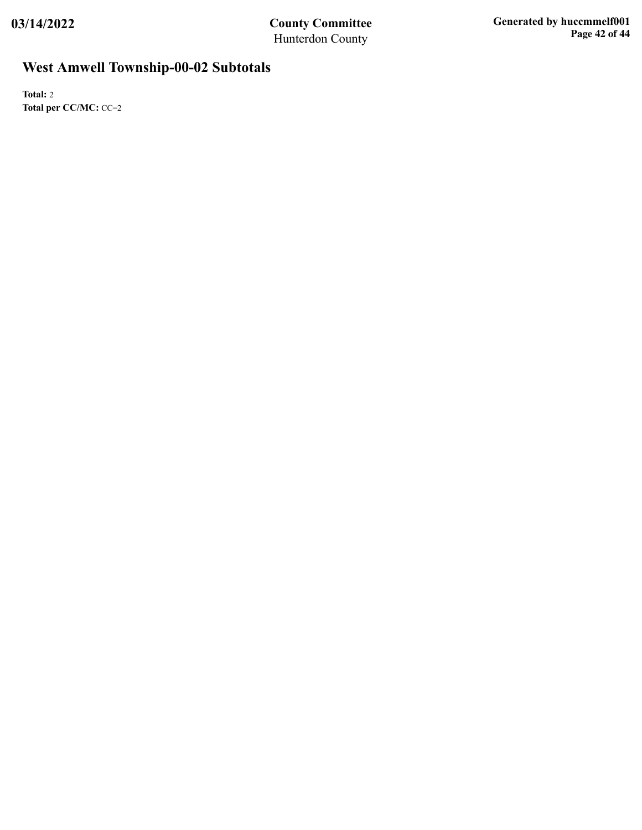# **West Amwell Township-00-02 Subtotals**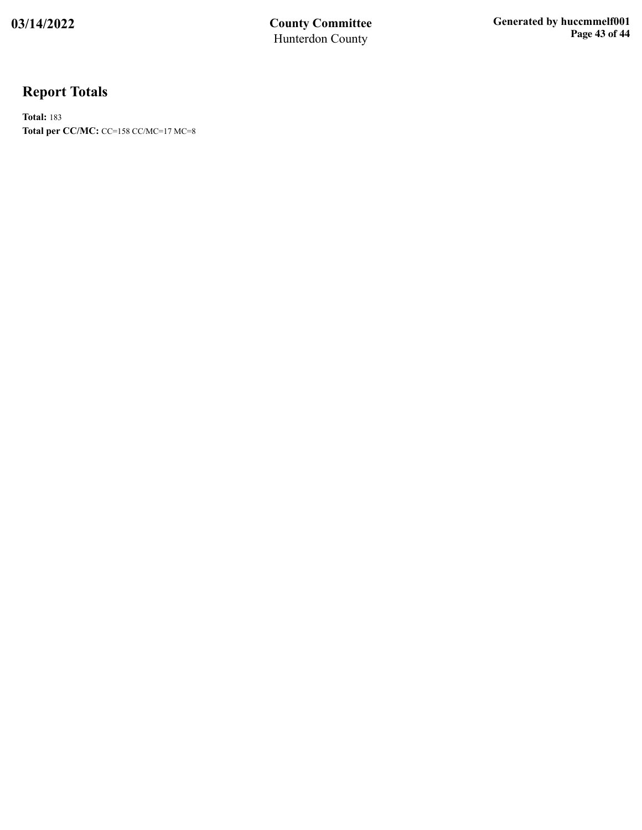# **Report Totals**

**Total:** 183 **Total per CC/MC:** CC=158 CC/MC=17 MC=8